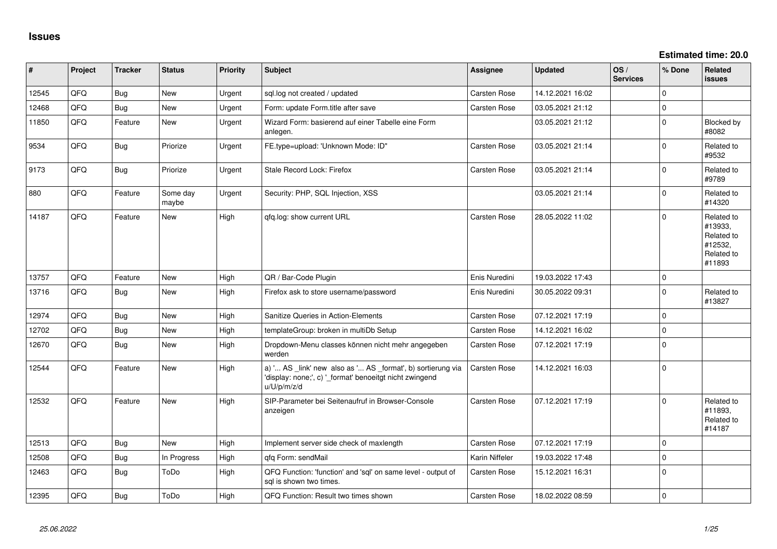| #     | Project | <b>Tracker</b> | <b>Status</b>     | Priority | <b>Subject</b>                                                                                                                        | Assignee            | <b>Updated</b>   | OS/<br><b>Services</b> | % Done         | Related<br>issues                                                      |
|-------|---------|----------------|-------------------|----------|---------------------------------------------------------------------------------------------------------------------------------------|---------------------|------------------|------------------------|----------------|------------------------------------------------------------------------|
| 12545 | QFQ     | <b>Bug</b>     | New               | Urgent   | sql.log not created / updated                                                                                                         | <b>Carsten Rose</b> | 14.12.2021 16:02 |                        | $\Omega$       |                                                                        |
| 12468 | QFQ     | Bug            | <b>New</b>        | Urgent   | Form: update Form.title after save                                                                                                    | <b>Carsten Rose</b> | 03.05.2021 21:12 |                        | 0              |                                                                        |
| 11850 | QFQ     | Feature        | New               | Urgent   | Wizard Form: basierend auf einer Tabelle eine Form<br>anlegen.                                                                        |                     | 03.05.2021 21:12 |                        | $\Omega$       | Blocked by<br>#8082                                                    |
| 9534  | QFQ     | Bug            | Priorize          | Urgent   | FE.type=upload: 'Unknown Mode: ID"                                                                                                    | <b>Carsten Rose</b> | 03.05.2021 21:14 |                        | $\Omega$       | Related to<br>#9532                                                    |
| 9173  | QFQ     | Bug            | Priorize          | Urgent   | Stale Record Lock: Firefox                                                                                                            | <b>Carsten Rose</b> | 03.05.2021 21:14 |                        | $\Omega$       | Related to<br>#9789                                                    |
| 880   | QFQ     | Feature        | Some day<br>maybe | Urgent   | Security: PHP, SQL Injection, XSS                                                                                                     |                     | 03.05.2021 21:14 |                        | $\Omega$       | Related to<br>#14320                                                   |
| 14187 | QFQ     | Feature        | New               | High     | qfq.log: show current URL                                                                                                             | <b>Carsten Rose</b> | 28.05.2022 11:02 |                        | $\Omega$       | Related to<br>#13933,<br>Related to<br>#12532,<br>Related to<br>#11893 |
| 13757 | QFQ     | Feature        | <b>New</b>        | High     | QR / Bar-Code Plugin                                                                                                                  | Enis Nuredini       | 19.03.2022 17:43 |                        | $\Omega$       |                                                                        |
| 13716 | QFQ     | Bug            | New               | High     | Firefox ask to store username/password                                                                                                | Enis Nuredini       | 30.05.2022 09:31 |                        | $\Omega$       | Related to<br>#13827                                                   |
| 12974 | QFQ     | Bug            | New               | High     | Sanitize Queries in Action-Elements                                                                                                   | Carsten Rose        | 07.12.2021 17:19 |                        | $\Omega$       |                                                                        |
| 12702 | QFQ     | Bug            | <b>New</b>        | High     | templateGroup: broken in multiDb Setup                                                                                                | Carsten Rose        | 14.12.2021 16:02 |                        | $\Omega$       |                                                                        |
| 12670 | QFQ     | Bug            | New               | High     | Dropdown-Menu classes können nicht mehr angegeben<br>werden                                                                           | <b>Carsten Rose</b> | 07.12.2021 17:19 |                        | $\Omega$       |                                                                        |
| 12544 | QFQ     | Feature        | New               | High     | a) ' AS _link' new also as ' AS _format', b) sortierung via<br>'display: none;', c) '_format' benoeitgt nicht zwingend<br>u/U/p/m/z/d | <b>Carsten Rose</b> | 14.12.2021 16:03 |                        | 0              |                                                                        |
| 12532 | QFQ     | Feature        | New               | High     | SIP-Parameter bei Seitenaufruf in Browser-Console<br>anzeigen                                                                         | <b>Carsten Rose</b> | 07.12.2021 17:19 |                        | $\Omega$       | Related to<br>#11893,<br>Related to<br>#14187                          |
| 12513 | QFQ     | Bug            | <b>New</b>        | High     | Implement server side check of maxlength                                                                                              | <b>Carsten Rose</b> | 07.12.2021 17:19 |                        | $\overline{0}$ |                                                                        |
| 12508 | QFQ     | Bug            | In Progress       | High     | gfg Form: sendMail                                                                                                                    | Karin Niffeler      | 19.03.2022 17:48 |                        | $\overline{0}$ |                                                                        |
| 12463 | QFQ     | <b>Bug</b>     | ToDo              | High     | QFQ Function: 'function' and 'sql' on same level - output of<br>sql is shown two times.                                               | Carsten Rose        | 15.12.2021 16:31 |                        | $\overline{0}$ |                                                                        |
| 12395 | QFQ     | Bug            | ToDo              | High     | QFQ Function: Result two times shown                                                                                                  | <b>Carsten Rose</b> | 18.02.2022 08:59 |                        | l 0            |                                                                        |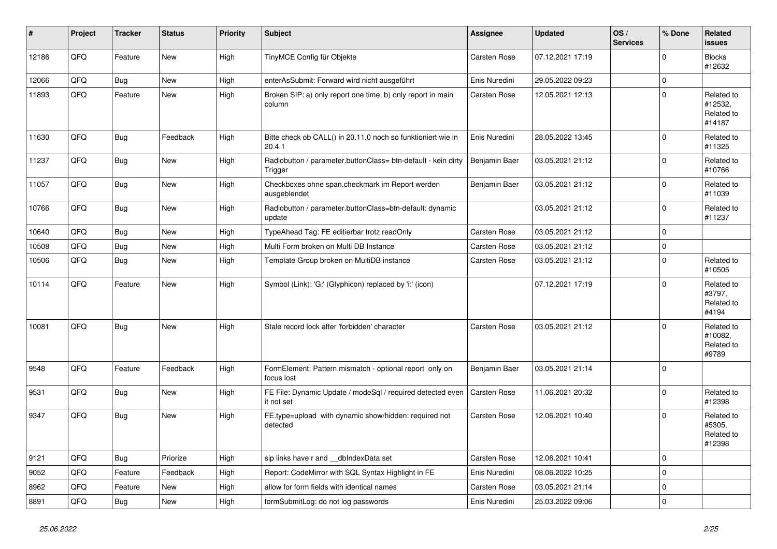| #     | Project | <b>Tracker</b> | <b>Status</b> | <b>Priority</b> | Subject                                                                  | Assignee            | <b>Updated</b>   | OS/<br><b>Services</b> | % Done      | Related<br><b>issues</b>                      |
|-------|---------|----------------|---------------|-----------------|--------------------------------------------------------------------------|---------------------|------------------|------------------------|-------------|-----------------------------------------------|
| 12186 | QFQ     | Feature        | New           | High            | TinyMCE Config für Objekte                                               | Carsten Rose        | 07.12.2021 17:19 |                        | $\Omega$    | <b>Blocks</b><br>#12632                       |
| 12066 | QFQ     | <b>Bug</b>     | <b>New</b>    | High            | enterAsSubmit: Forward wird nicht ausgeführt                             | Enis Nuredini       | 29.05.2022 09:23 |                        | $\mathbf 0$ |                                               |
| 11893 | QFQ     | Feature        | New           | High            | Broken SIP: a) only report one time, b) only report in main<br>column    | Carsten Rose        | 12.05.2021 12:13 |                        | $\Omega$    | Related to<br>#12532,<br>Related to<br>#14187 |
| 11630 | QFQ     | Bug            | Feedback      | High            | Bitte check ob CALL() in 20.11.0 noch so funktioniert wie in<br>20.4.1   | Enis Nuredini       | 28.05.2022 13:45 |                        | $\Omega$    | Related to<br>#11325                          |
| 11237 | QFQ     | Bug            | New           | High            | Radiobutton / parameter.buttonClass= btn-default - kein dirty<br>Trigger | Benjamin Baer       | 03.05.2021 21:12 |                        | $\mathbf 0$ | Related to<br>#10766                          |
| 11057 | QFQ     | Bug            | <b>New</b>    | High            | Checkboxes ohne span.checkmark im Report werden<br>ausgeblendet          | Benjamin Baer       | 03.05.2021 21:12 |                        | $\mathbf 0$ | Related to<br>#11039                          |
| 10766 | QFQ     | <b>Bug</b>     | New           | High            | Radiobutton / parameter.buttonClass=btn-default: dynamic<br>update       |                     | 03.05.2021 21:12 |                        | $\Omega$    | Related to<br>#11237                          |
| 10640 | QFQ     | Bug            | <b>New</b>    | High            | TypeAhead Tag: FE editierbar trotz readOnly                              | Carsten Rose        | 03.05.2021 21:12 |                        | $\mathbf 0$ |                                               |
| 10508 | QFQ     | Bug            | <b>New</b>    | High            | Multi Form broken on Multi DB Instance                                   | Carsten Rose        | 03.05.2021 21:12 |                        | $\mathbf 0$ |                                               |
| 10506 | QFQ     | Bug            | New           | High            | Template Group broken on MultiDB instance                                | Carsten Rose        | 03.05.2021 21:12 |                        | $\mathbf 0$ | Related to<br>#10505                          |
| 10114 | QFQ     | Feature        | <b>New</b>    | High            | Symbol (Link): 'G:' (Glyphicon) replaced by 'i:' (icon)                  |                     | 07.12.2021 17:19 |                        | $\Omega$    | Related to<br>#3797,<br>Related to<br>#4194   |
| 10081 | QFQ     | Bug            | <b>New</b>    | High            | Stale record lock after 'forbidden' character                            | <b>Carsten Rose</b> | 03.05.2021 21:12 |                        | $\Omega$    | Related to<br>#10082,<br>Related to<br>#9789  |
| 9548  | QFQ     | Feature        | Feedback      | High            | FormElement: Pattern mismatch - optional report only on<br>focus lost    | Benjamin Baer       | 03.05.2021 21:14 |                        | $\Omega$    |                                               |
| 9531  | QFQ     | Bug            | <b>New</b>    | High            | FE File: Dynamic Update / modeSql / required detected even<br>it not set | <b>Carsten Rose</b> | 11.06.2021 20:32 |                        | $\mathbf 0$ | Related to<br>#12398                          |
| 9347  | QFQ     | Bug            | New           | High            | FE.type=upload with dynamic show/hidden: required not<br>detected        | Carsten Rose        | 12.06.2021 10:40 |                        | $\mathbf 0$ | Related to<br>#5305,<br>Related to<br>#12398  |
| 9121  | QFQ     | Bug            | Priorize      | High            | sip links have r and __dbIndexData set                                   | Carsten Rose        | 12.06.2021 10:41 |                        | $\mathbf 0$ |                                               |
| 9052  | QFQ     | Feature        | Feedback      | High            | Report: CodeMirror with SQL Syntax Highlight in FE                       | Enis Nuredini       | 08.06.2022 10:25 |                        | $\mathbf 0$ |                                               |
| 8962  | QFQ     | Feature        | New           | High            | allow for form fields with identical names                               | Carsten Rose        | 03.05.2021 21:14 |                        | $\mathbf 0$ |                                               |
| 8891  | QFQ     | Bug            | <b>New</b>    | High            | formSubmitLog: do not log passwords                                      | Enis Nuredini       | 25.03.2022 09:06 |                        | $\mathbf 0$ |                                               |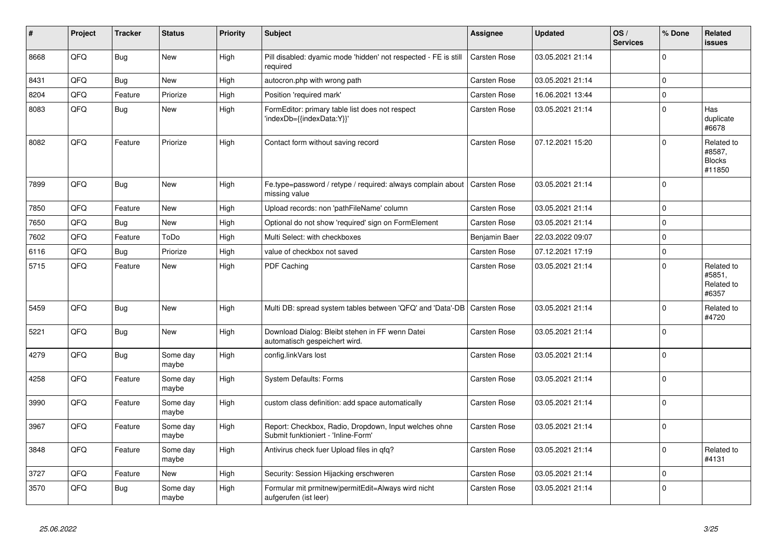| #    | Project | <b>Tracker</b> | <b>Status</b>     | <b>Priority</b> | <b>Subject</b>                                                                               | Assignee            | <b>Updated</b>   | OS/<br><b>Services</b> | % Done      | Related<br><b>issues</b>                        |
|------|---------|----------------|-------------------|-----------------|----------------------------------------------------------------------------------------------|---------------------|------------------|------------------------|-------------|-------------------------------------------------|
| 8668 | QFQ     | Bug            | <b>New</b>        | High            | Pill disabled: dyamic mode 'hidden' not respected - FE is still<br>required                  | <b>Carsten Rose</b> | 03.05.2021 21:14 |                        | $\mathbf 0$ |                                                 |
| 8431 | QFQ     | Bug            | New               | High            | autocron.php with wrong path                                                                 | Carsten Rose        | 03.05.2021 21:14 |                        | $\pmb{0}$   |                                                 |
| 8204 | QFQ     | Feature        | Priorize          | High            | Position 'required mark'                                                                     | Carsten Rose        | 16.06.2021 13:44 |                        | $\mathbf 0$ |                                                 |
| 8083 | QFQ     | Bug            | <b>New</b>        | High            | FormEditor: primary table list does not respect<br>'indexDb={{indexData:Y}}'                 | Carsten Rose        | 03.05.2021 21:14 |                        | $\mathbf 0$ | Has<br>duplicate<br>#6678                       |
| 8082 | QFQ     | Feature        | Priorize          | High            | Contact form without saving record                                                           | Carsten Rose        | 07.12.2021 15:20 |                        | $\Omega$    | Related to<br>#8587,<br><b>Blocks</b><br>#11850 |
| 7899 | QFQ     | Bug            | <b>New</b>        | High            | Fe.type=password / retype / required: always complain about   Carsten Rose<br>missing value  |                     | 03.05.2021 21:14 |                        | $\mathbf 0$ |                                                 |
| 7850 | QFQ     | Feature        | <b>New</b>        | High            | Upload records: non 'pathFileName' column                                                    | Carsten Rose        | 03.05.2021 21:14 |                        | $\mathsf 0$ |                                                 |
| 7650 | QFQ     | Bug            | New               | High            | Optional do not show 'required' sign on FormElement                                          | Carsten Rose        | 03.05.2021 21:14 |                        | $\mathsf 0$ |                                                 |
| 7602 | QFQ     | Feature        | ToDo              | High            | Multi Select: with checkboxes                                                                | Benjamin Baer       | 22.03.2022 09:07 |                        | $\mathbf 0$ |                                                 |
| 6116 | QFQ     | <b>Bug</b>     | Priorize          | High            | value of checkbox not saved                                                                  | Carsten Rose        | 07.12.2021 17:19 |                        | $\mathsf 0$ |                                                 |
| 5715 | QFQ     | Feature        | <b>New</b>        | High            | PDF Caching                                                                                  | Carsten Rose        | 03.05.2021 21:14 |                        | $\mathsf 0$ | Related to<br>#5851,<br>Related to<br>#6357     |
| 5459 | QFQ     | Bug            | New               | High            | Multi DB: spread system tables between 'QFQ' and 'Data'-DB   Carsten Rose                    |                     | 03.05.2021 21:14 |                        | $\Omega$    | Related to<br>#4720                             |
| 5221 | QFQ     | Bug            | <b>New</b>        | High            | Download Dialog: Bleibt stehen in FF wenn Datei<br>automatisch gespeichert wird.             | Carsten Rose        | 03.05.2021 21:14 |                        | $\mathbf 0$ |                                                 |
| 4279 | QFQ     | Bug            | Some day<br>maybe | High            | config.linkVars lost                                                                         | Carsten Rose        | 03.05.2021 21:14 |                        | $\mathbf 0$ |                                                 |
| 4258 | QFQ     | Feature        | Some day<br>maybe | High            | <b>System Defaults: Forms</b>                                                                | Carsten Rose        | 03.05.2021 21:14 |                        | $\Omega$    |                                                 |
| 3990 | QFQ     | Feature        | Some day<br>maybe | High            | custom class definition: add space automatically                                             | Carsten Rose        | 03.05.2021 21:14 |                        | $\Omega$    |                                                 |
| 3967 | QFQ     | Feature        | Some day<br>maybe | High            | Report: Checkbox, Radio, Dropdown, Input welches ohne<br>Submit funktioniert - 'Inline-Form' | Carsten Rose        | 03.05.2021 21:14 |                        | $\mathbf 0$ |                                                 |
| 3848 | QFQ     | Feature        | Some day<br>maybe | High            | Antivirus check fuer Upload files in qfq?                                                    | Carsten Rose        | 03.05.2021 21:14 |                        | $\Omega$    | Related to<br>#4131                             |
| 3727 | QFQ     | Feature        | <b>New</b>        | High            | Security: Session Hijacking erschweren                                                       | Carsten Rose        | 03.05.2021 21:14 |                        | $\mathbf 0$ |                                                 |
| 3570 | QFQ     | Bug            | Some day<br>maybe | High            | Formular mit prmitnew permitEdit=Always wird nicht<br>aufgerufen (ist leer)                  | Carsten Rose        | 03.05.2021 21:14 |                        | $\Omega$    |                                                 |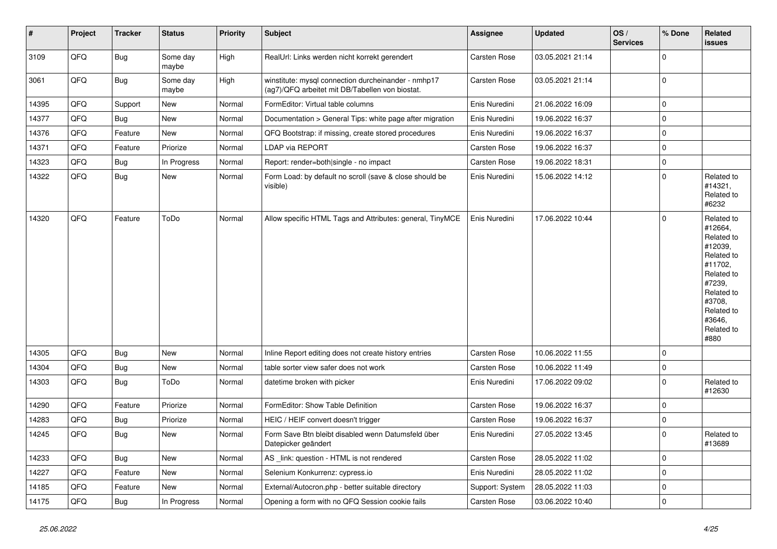| $\vert$ # | Project | <b>Tracker</b> | <b>Status</b>     | <b>Priority</b> | <b>Subject</b>                                                                                         | <b>Assignee</b>     | <b>Updated</b>   | OS/<br><b>Services</b> | % Done         | Related<br><b>issues</b>                                                                                                                                              |
|-----------|---------|----------------|-------------------|-----------------|--------------------------------------------------------------------------------------------------------|---------------------|------------------|------------------------|----------------|-----------------------------------------------------------------------------------------------------------------------------------------------------------------------|
| 3109      | QFQ     | Bug            | Some day<br>maybe | High            | RealUrl: Links werden nicht korrekt gerendert                                                          | <b>Carsten Rose</b> | 03.05.2021 21:14 |                        | $\Omega$       |                                                                                                                                                                       |
| 3061      | QFQ     | Bug            | Some day<br>maybe | High            | winstitute: mysql connection durcheinander - nmhp17<br>(ag7)/QFQ arbeitet mit DB/Tabellen von biostat. | Carsten Rose        | 03.05.2021 21:14 |                        | 0              |                                                                                                                                                                       |
| 14395     | QFQ     | Support        | New               | Normal          | FormEditor: Virtual table columns                                                                      | Enis Nuredini       | 21.06.2022 16:09 |                        | $\mathbf 0$    |                                                                                                                                                                       |
| 14377     | QFQ     | Bug            | New               | Normal          | Documentation > General Tips: white page after migration                                               | Enis Nuredini       | 19.06.2022 16:37 |                        | $\mathbf 0$    |                                                                                                                                                                       |
| 14376     | QFQ     | Feature        | <b>New</b>        | Normal          | QFQ Bootstrap: if missing, create stored procedures                                                    | Enis Nuredini       | 19.06.2022 16:37 |                        | $\mathbf 0$    |                                                                                                                                                                       |
| 14371     | QFQ     | Feature        | Priorize          | Normal          | LDAP via REPORT                                                                                        | Carsten Rose        | 19.06.2022 16:37 |                        | 0              |                                                                                                                                                                       |
| 14323     | QFQ     | <b>Bug</b>     | In Progress       | Normal          | Report: render=both single - no impact                                                                 | Carsten Rose        | 19.06.2022 18:31 |                        | $\mathbf 0$    |                                                                                                                                                                       |
| 14322     | QFQ     | Bug            | New               | Normal          | Form Load: by default no scroll (save & close should be<br>visible)                                    | Enis Nuredini       | 15.06.2022 14:12 |                        | $\Omega$       | Related to<br>#14321,<br>Related to<br>#6232                                                                                                                          |
| 14320     | QFQ     | Feature        | ToDo              | Normal          | Allow specific HTML Tags and Attributes: general, TinyMCE                                              | Enis Nuredini       | 17.06.2022 10:44 |                        | $\mathbf 0$    | Related to<br>#12664,<br>Related to<br>#12039,<br>Related to<br>#11702.<br>Related to<br>#7239,<br>Related to<br>#3708.<br>Related to<br>#3646,<br>Related to<br>#880 |
| 14305     | QFQ     | Bug            | New               | Normal          | Inline Report editing does not create history entries                                                  | Carsten Rose        | 10.06.2022 11:55 |                        | $\overline{0}$ |                                                                                                                                                                       |
| 14304     | QFQ     | Bug            | New               | Normal          | table sorter view safer does not work                                                                  | Carsten Rose        | 10.06.2022 11:49 |                        | $\mathbf 0$    |                                                                                                                                                                       |
| 14303     | QFQ     | <b>Bug</b>     | ToDo              | Normal          | datetime broken with picker                                                                            | Enis Nuredini       | 17.06.2022 09:02 |                        | $\mathbf 0$    | Related to<br>#12630                                                                                                                                                  |
| 14290     | QFQ     | Feature        | Priorize          | Normal          | FormEditor: Show Table Definition                                                                      | <b>Carsten Rose</b> | 19.06.2022 16:37 |                        | $\overline{0}$ |                                                                                                                                                                       |
| 14283     | QFQ     | Bug            | Priorize          | Normal          | HEIC / HEIF convert doesn't trigger                                                                    | Carsten Rose        | 19.06.2022 16:37 |                        | $\mathbf 0$    |                                                                                                                                                                       |
| 14245     | QFQ     | <b>Bug</b>     | <b>New</b>        | Normal          | Form Save Btn bleibt disabled wenn Datumsfeld über<br>Datepicker geändert                              | Enis Nuredini       | 27.05.2022 13:45 |                        | 0              | Related to<br>#13689                                                                                                                                                  |
| 14233     | QFQ     | Bug            | <b>New</b>        | Normal          | AS _link: question - HTML is not rendered                                                              | Carsten Rose        | 28.05.2022 11:02 |                        | $\mathbf 0$    |                                                                                                                                                                       |
| 14227     | QFQ     | Feature        | <b>New</b>        | Normal          | Selenium Konkurrenz: cypress.io                                                                        | Enis Nuredini       | 28.05.2022 11:02 |                        | 0              |                                                                                                                                                                       |
| 14185     | QFQ     | Feature        | New               | Normal          | External/Autocron.php - better suitable directory                                                      | Support: System     | 28.05.2022 11:03 |                        | $\mathbf 0$    |                                                                                                                                                                       |
| 14175     | QFQ     | <b>Bug</b>     | In Progress       | Normal          | Opening a form with no QFQ Session cookie fails                                                        | <b>Carsten Rose</b> | 03.06.2022 10:40 |                        | $\mathbf 0$    |                                                                                                                                                                       |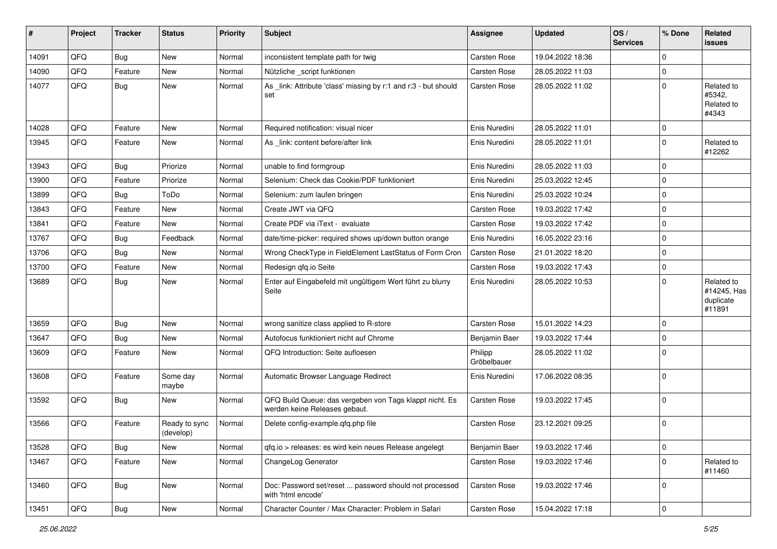| #     | Project | <b>Tracker</b> | <b>Status</b>              | <b>Priority</b> | <b>Subject</b>                                                                           | <b>Assignee</b>        | <b>Updated</b>   | OS/<br><b>Services</b> | % Done      | Related<br><b>issues</b>                         |
|-------|---------|----------------|----------------------------|-----------------|------------------------------------------------------------------------------------------|------------------------|------------------|------------------------|-------------|--------------------------------------------------|
| 14091 | QFQ     | Bug            | New                        | Normal          | inconsistent template path for twig                                                      | Carsten Rose           | 19.04.2022 18:36 |                        | $\Omega$    |                                                  |
| 14090 | QFQ     | Feature        | New                        | Normal          | Nützliche _script funktionen                                                             | Carsten Rose           | 28.05.2022 11:03 |                        | $\mathbf 0$ |                                                  |
| 14077 | QFQ     | <b>Bug</b>     | <b>New</b>                 | Normal          | As link: Attribute 'class' missing by r:1 and r:3 - but should<br>set                    | Carsten Rose           | 28.05.2022 11:02 |                        | 0           | Related to<br>#5342,<br>Related to<br>#4343      |
| 14028 | QFQ     | Feature        | <b>New</b>                 | Normal          | Required notification: visual nicer                                                      | Enis Nuredini          | 28.05.2022 11:01 |                        | $\mathbf 0$ |                                                  |
| 13945 | QFQ     | Feature        | <b>New</b>                 | Normal          | As _link: content before/after link                                                      | Enis Nuredini          | 28.05.2022 11:01 |                        | $\Omega$    | Related to<br>#12262                             |
| 13943 | QFQ     | <b>Bug</b>     | Priorize                   | Normal          | unable to find formgroup                                                                 | Enis Nuredini          | 28.05.2022 11:03 |                        | 0           |                                                  |
| 13900 | QFQ     | Feature        | Priorize                   | Normal          | Selenium: Check das Cookie/PDF funktioniert                                              | Enis Nuredini          | 25.03.2022 12:45 |                        | $\mathbf 0$ |                                                  |
| 13899 | QFQ     | Bug            | ToDo                       | Normal          | Selenium: zum laufen bringen                                                             | Enis Nuredini          | 25.03.2022 10:24 |                        | $\mathbf 0$ |                                                  |
| 13843 | QFQ     | Feature        | <b>New</b>                 | Normal          | Create JWT via QFQ                                                                       | Carsten Rose           | 19.03.2022 17:42 |                        | $\mathbf 0$ |                                                  |
| 13841 | QFQ     | Feature        | New                        | Normal          | Create PDF via iText - evaluate                                                          | Carsten Rose           | 19.03.2022 17:42 |                        | $\mathbf 0$ |                                                  |
| 13767 | QFQ     | <b>Bug</b>     | Feedback                   | Normal          | date/time-picker: required shows up/down button orange                                   | Enis Nuredini          | 16.05.2022 23:16 |                        | $\mathbf 0$ |                                                  |
| 13706 | QFQ     | Bug            | <b>New</b>                 | Normal          | Wrong CheckType in FieldElement LastStatus of Form Cron                                  | Carsten Rose           | 21.01.2022 18:20 |                        | $\Omega$    |                                                  |
| 13700 | QFQ     | Feature        | New                        | Normal          | Redesign qfq.io Seite                                                                    | Carsten Rose           | 19.03.2022 17:43 |                        | $\mathbf 0$ |                                                  |
| 13689 | QFQ     | Bug            | <b>New</b>                 | Normal          | Enter auf Eingabefeld mit ungültigem Wert führt zu blurry<br>Seite                       | Enis Nuredini          | 28.05.2022 10:53 |                        | $\Omega$    | Related to<br>#14245, Has<br>duplicate<br>#11891 |
| 13659 | QFQ     | Bug            | <b>New</b>                 | Normal          | wrong sanitize class applied to R-store                                                  | Carsten Rose           | 15.01.2022 14:23 |                        | $\mathbf 0$ |                                                  |
| 13647 | QFQ     | Bug            | <b>New</b>                 | Normal          | Autofocus funktioniert nicht auf Chrome                                                  | Benjamin Baer          | 19.03.2022 17:44 |                        | $\mathbf 0$ |                                                  |
| 13609 | QFQ     | Feature        | <b>New</b>                 | Normal          | QFQ Introduction: Seite aufloesen                                                        | Philipp<br>Gröbelbauer | 28.05.2022 11:02 |                        | $\Omega$    |                                                  |
| 13608 | QFQ     | Feature        | Some day<br>maybe          | Normal          | Automatic Browser Language Redirect                                                      | Enis Nuredini          | 17.06.2022 08:35 |                        | $\mathbf 0$ |                                                  |
| 13592 | QFQ     | Bug            | New                        | Normal          | QFQ Build Queue: das vergeben von Tags klappt nicht. Es<br>werden keine Releases gebaut. | Carsten Rose           | 19.03.2022 17:45 |                        | 0           |                                                  |
| 13566 | QFQ     | Feature        | Ready to sync<br>(develop) | Normal          | Delete config-example.qfq.php file                                                       | Carsten Rose           | 23.12.2021 09:25 |                        | 0           |                                                  |
| 13528 | QFQ     | Bug            | New                        | Normal          | gfg.io > releases: es wird kein neues Release angelegt                                   | Benjamin Baer          | 19.03.2022 17:46 |                        | 0           |                                                  |
| 13467 | QFQ     | Feature        | New                        | Normal          | ChangeLog Generator                                                                      | Carsten Rose           | 19.03.2022 17:46 |                        | 0           | Related to<br>#11460                             |
| 13460 | QFQ     | Bug            | New                        | Normal          | Doc: Password set/reset  password should not processed<br>with 'html encode'             | Carsten Rose           | 19.03.2022 17:46 |                        | 0           |                                                  |
| 13451 | QFQ     | <b>Bug</b>     | New                        | Normal          | Character Counter / Max Character: Problem in Safari                                     | Carsten Rose           | 15.04.2022 17:18 |                        | 0           |                                                  |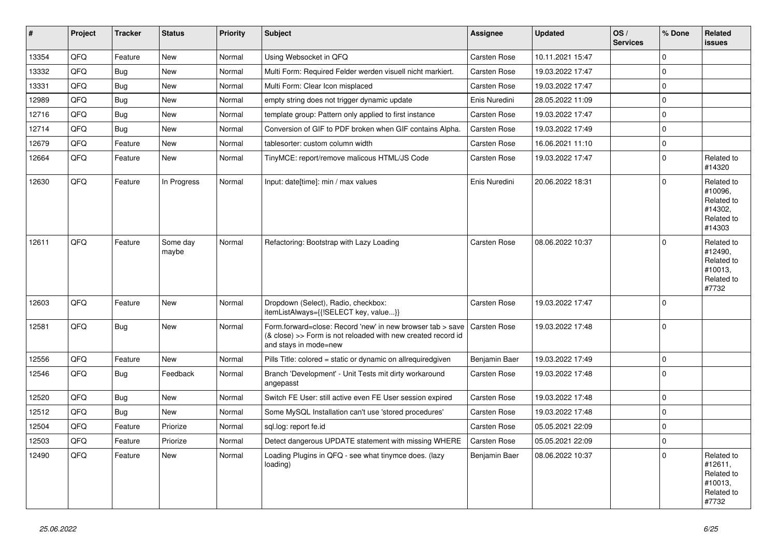| $\vert$ # | Project | <b>Tracker</b> | <b>Status</b>     | <b>Priority</b> | <b>Subject</b>                                                                                                                                      | <b>Assignee</b>     | <b>Updated</b>   | OS/<br><b>Services</b> | % Done      | Related<br><b>issues</b>                                               |
|-----------|---------|----------------|-------------------|-----------------|-----------------------------------------------------------------------------------------------------------------------------------------------------|---------------------|------------------|------------------------|-------------|------------------------------------------------------------------------|
| 13354     | QFQ     | Feature        | <b>New</b>        | Normal          | Using Websocket in QFQ                                                                                                                              | Carsten Rose        | 10.11.2021 15:47 |                        | $\mathbf 0$ |                                                                        |
| 13332     | QFQ     | Bug            | <b>New</b>        | Normal          | Multi Form: Required Felder werden visuell nicht markiert.                                                                                          | Carsten Rose        | 19.03.2022 17:47 |                        | $\mathbf 0$ |                                                                        |
| 13331     | QFQ     | <b>Bug</b>     | <b>New</b>        | Normal          | Multi Form: Clear Icon misplaced                                                                                                                    | Carsten Rose        | 19.03.2022 17:47 |                        | $\mathbf 0$ |                                                                        |
| 12989     | QFQ     | Bug            | <b>New</b>        | Normal          | empty string does not trigger dynamic update                                                                                                        | Enis Nuredini       | 28.05.2022 11:09 |                        | $\Omega$    |                                                                        |
| 12716     | QFQ     | Bug            | <b>New</b>        | Normal          | template group: Pattern only applied to first instance                                                                                              | Carsten Rose        | 19.03.2022 17:47 |                        | $\mathbf 0$ |                                                                        |
| 12714     | QFQ     | Bug            | <b>New</b>        | Normal          | Conversion of GIF to PDF broken when GIF contains Alpha.                                                                                            | Carsten Rose        | 19.03.2022 17:49 |                        | $\mathbf 0$ |                                                                        |
| 12679     | QFQ     | Feature        | <b>New</b>        | Normal          | tablesorter: custom column width                                                                                                                    | Carsten Rose        | 16.06.2021 11:10 |                        | $\mathbf 0$ |                                                                        |
| 12664     | QFQ     | Feature        | <b>New</b>        | Normal          | TinyMCE: report/remove malicous HTML/JS Code                                                                                                        | Carsten Rose        | 19.03.2022 17:47 |                        | $\mathbf 0$ | Related to<br>#14320                                                   |
| 12630     | QFQ     | Feature        | In Progress       | Normal          | Input: date[time]: min / max values                                                                                                                 | Enis Nuredini       | 20.06.2022 18:31 |                        | $\mathbf 0$ | Related to<br>#10096,<br>Related to<br>#14302,<br>Related to<br>#14303 |
| 12611     | QFQ     | Feature        | Some day<br>maybe | Normal          | Refactoring: Bootstrap with Lazy Loading                                                                                                            | Carsten Rose        | 08.06.2022 10:37 |                        | $\Omega$    | Related to<br>#12490,<br>Related to<br>#10013,<br>Related to<br>#7732  |
| 12603     | QFQ     | Feature        | <b>New</b>        | Normal          | Dropdown (Select), Radio, checkbox:<br>itemListAlways={{!SELECT key, value}}                                                                        | Carsten Rose        | 19.03.2022 17:47 |                        | $\Omega$    |                                                                        |
| 12581     | QFQ     | Bug            | <b>New</b>        | Normal          | Form.forward=close: Record 'new' in new browser tab > save<br>(& close) >> Form is not reloaded with new created record id<br>and stays in mode=new | <b>Carsten Rose</b> | 19.03.2022 17:48 |                        | $\mathbf 0$ |                                                                        |
| 12556     | QFQ     | Feature        | <b>New</b>        | Normal          | Pills Title: colored = static or dynamic on allrequiredgiven                                                                                        | Benjamin Baer       | 19.03.2022 17:49 |                        | $\mathbf 0$ |                                                                        |
| 12546     | QFQ     | <b>Bug</b>     | Feedback          | Normal          | Branch 'Development' - Unit Tests mit dirty workaround<br>angepasst                                                                                 | Carsten Rose        | 19.03.2022 17:48 |                        | $\Omega$    |                                                                        |
| 12520     | QFQ     | Bug            | <b>New</b>        | Normal          | Switch FE User: still active even FE User session expired                                                                                           | Carsten Rose        | 19.03.2022 17:48 |                        | $\mathbf 0$ |                                                                        |
| 12512     | QFQ     | <b>Bug</b>     | New               | Normal          | Some MySQL Installation can't use 'stored procedures'                                                                                               | Carsten Rose        | 19.03.2022 17:48 |                        | $\mathbf 0$ |                                                                        |
| 12504     | QFQ     | Feature        | Priorize          | Normal          | sql.log: report fe.id                                                                                                                               | Carsten Rose        | 05.05.2021 22:09 |                        | $\mathbf 0$ |                                                                        |
| 12503     | QFQ     | Feature        | Priorize          | Normal          | Detect dangerous UPDATE statement with missing WHERE                                                                                                | Carsten Rose        | 05.05.2021 22:09 |                        | $\mathbf 0$ |                                                                        |
| 12490     | QFQ     | Feature        | <b>New</b>        | Normal          | Loading Plugins in QFQ - see what tinymce does. (lazy<br>loading)                                                                                   | Benjamin Baer       | 08.06.2022 10:37 |                        | $\Omega$    | Related to<br>#12611,<br>Related to<br>#10013,<br>Related to<br>#7732  |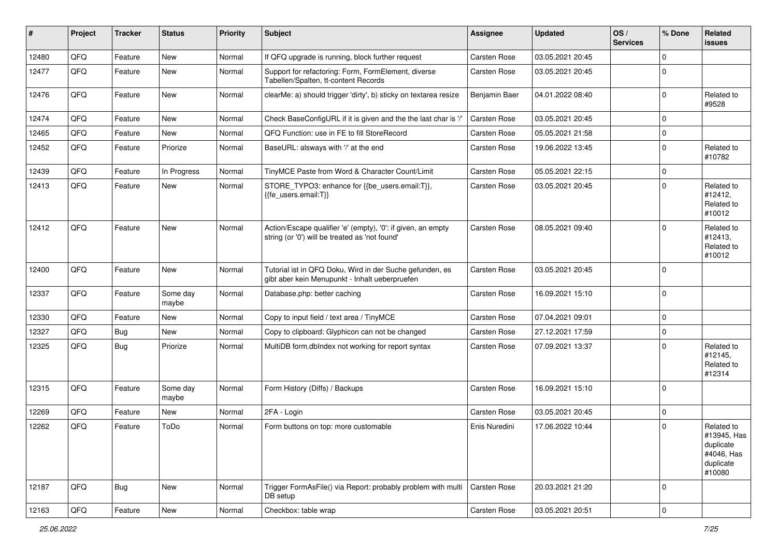| #     | Project | <b>Tracker</b> | <b>Status</b>     | <b>Priority</b> | Subject                                                                                                        | Assignee      | <b>Updated</b>   | OS/<br><b>Services</b> | % Done      | Related<br><b>issues</b>                                                    |
|-------|---------|----------------|-------------------|-----------------|----------------------------------------------------------------------------------------------------------------|---------------|------------------|------------------------|-------------|-----------------------------------------------------------------------------|
| 12480 | QFQ     | Feature        | New               | Normal          | If QFQ upgrade is running, block further request                                                               | Carsten Rose  | 03.05.2021 20:45 |                        | $\Omega$    |                                                                             |
| 12477 | QFQ     | Feature        | New               | Normal          | Support for refactoring: Form, FormElement, diverse<br>Tabellen/Spalten, tt-content Records                    | Carsten Rose  | 03.05.2021 20:45 |                        | $\mathbf 0$ |                                                                             |
| 12476 | QFQ     | Feature        | New               | Normal          | clearMe: a) should trigger 'dirty', b) sticky on textarea resize                                               | Benjamin Baer | 04.01.2022 08:40 |                        | $\mathbf 0$ | Related to<br>#9528                                                         |
| 12474 | QFQ     | Feature        | New               | Normal          | Check BaseConfigURL if it is given and the the last char is '/'                                                | Carsten Rose  | 03.05.2021 20:45 |                        | 0           |                                                                             |
| 12465 | QFQ     | Feature        | New               | Normal          | QFQ Function: use in FE to fill StoreRecord                                                                    | Carsten Rose  | 05.05.2021 21:58 |                        | $\mathbf 0$ |                                                                             |
| 12452 | QFQ     | Feature        | Priorize          | Normal          | BaseURL: alsways with '/' at the end                                                                           | Carsten Rose  | 19.06.2022 13:45 |                        | $\Omega$    | Related to<br>#10782                                                        |
| 12439 | QFQ     | Feature        | In Progress       | Normal          | TinyMCE Paste from Word & Character Count/Limit                                                                | Carsten Rose  | 05.05.2021 22:15 |                        | $\mathbf 0$ |                                                                             |
| 12413 | QFQ     | Feature        | New               | Normal          | STORE_TYPO3: enhance for {{be_users.email:T}},<br>{{fe_users.email:T}}                                         | Carsten Rose  | 03.05.2021 20:45 |                        | $\Omega$    | Related to<br>#12412,<br>Related to<br>#10012                               |
| 12412 | QFQ     | Feature        | New               | Normal          | Action/Escape qualifier 'e' (empty), '0': if given, an empty<br>string (or '0') will be treated as 'not found' | Carsten Rose  | 08.05.2021 09:40 |                        | $\Omega$    | Related to<br>#12413,<br>Related to<br>#10012                               |
| 12400 | QFQ     | Feature        | New               | Normal          | Tutorial ist in QFQ Doku, Wird in der Suche gefunden, es<br>gibt aber kein Menupunkt - Inhalt ueberpruefen     | Carsten Rose  | 03.05.2021 20:45 |                        | 0           |                                                                             |
| 12337 | QFQ     | Feature        | Some day<br>maybe | Normal          | Database.php: better caching                                                                                   | Carsten Rose  | 16.09.2021 15:10 |                        | 0           |                                                                             |
| 12330 | QFQ     | Feature        | <b>New</b>        | Normal          | Copy to input field / text area / TinyMCE                                                                      | Carsten Rose  | 07.04.2021 09:01 |                        | 0           |                                                                             |
| 12327 | QFQ     | Bug            | <b>New</b>        | Normal          | Copy to clipboard: Glyphicon can not be changed                                                                | Carsten Rose  | 27.12.2021 17:59 |                        | $\mathbf 0$ |                                                                             |
| 12325 | QFQ     | Bug            | Priorize          | Normal          | MultiDB form.dblndex not working for report syntax                                                             | Carsten Rose  | 07.09.2021 13:37 |                        | $\Omega$    | Related to<br>#12145,<br>Related to<br>#12314                               |
| 12315 | QFQ     | Feature        | Some day<br>maybe | Normal          | Form History (Diffs) / Backups                                                                                 | Carsten Rose  | 16.09.2021 15:10 |                        | 0           |                                                                             |
| 12269 | QFQ     | Feature        | <b>New</b>        | Normal          | 2FA - Login                                                                                                    | Carsten Rose  | 03.05.2021 20:45 |                        | 0           |                                                                             |
| 12262 | QFQ     | Feature        | ToDo              | Normal          | Form buttons on top: more customable                                                                           | Enis Nuredini | 17.06.2022 10:44 |                        | $\Omega$    | Related to<br>#13945, Has<br>duplicate<br>#4046, Has<br>duplicate<br>#10080 |
| 12187 | QFQ     | Bug            | <b>New</b>        | Normal          | Trigger FormAsFile() via Report: probably problem with multi<br>DB setup                                       | Carsten Rose  | 20.03.2021 21:20 |                        | 0           |                                                                             |
| 12163 | QFQ     | Feature        | New               | Normal          | Checkbox: table wrap                                                                                           | Carsten Rose  | 03.05.2021 20:51 |                        | 0           |                                                                             |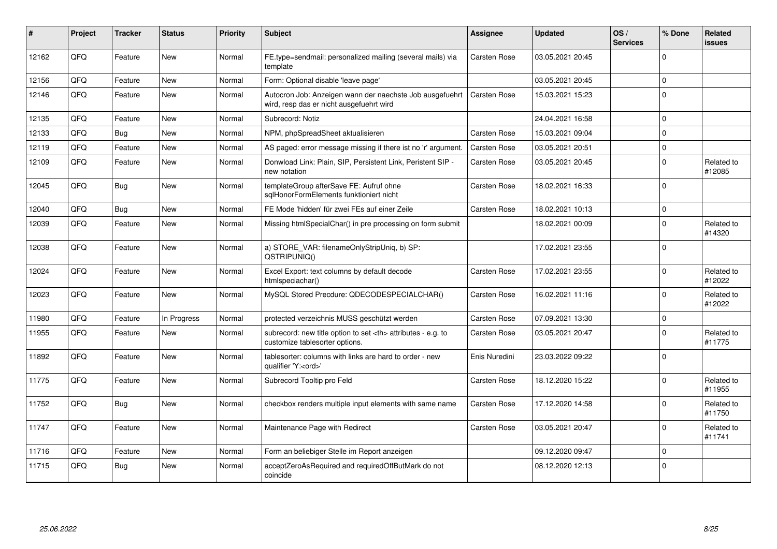| #     | Project | <b>Tracker</b> | <b>Status</b> | <b>Priority</b> | Subject                                                                                              | <b>Assignee</b>                                        | <b>Updated</b>   | OS/<br><b>Services</b> | % Done      | Related<br><b>issues</b> |                      |
|-------|---------|----------------|---------------|-----------------|------------------------------------------------------------------------------------------------------|--------------------------------------------------------|------------------|------------------------|-------------|--------------------------|----------------------|
| 12162 | QFQ     | Feature        | <b>New</b>    | Normal          | FE.type=sendmail: personalized mailing (several mails) via<br>template                               | Carsten Rose                                           | 03.05.2021 20:45 |                        | $\Omega$    |                          |                      |
| 12156 | QFQ     | Feature        | <b>New</b>    | Normal          | Form: Optional disable 'leave page'                                                                  |                                                        | 03.05.2021 20:45 |                        | $\Omega$    |                          |                      |
| 12146 | QFQ     | Feature        | <b>New</b>    | Normal          | Autocron Job: Anzeigen wann der naechste Job ausgefuehrt<br>wird, resp das er nicht ausgefuehrt wird | Carsten Rose                                           | 15.03.2021 15:23 |                        | $\Omega$    |                          |                      |
| 12135 | QFQ     | Feature        | New           | Normal          | Subrecord: Notiz                                                                                     |                                                        | 24.04.2021 16:58 |                        | $\Omega$    |                          |                      |
| 12133 | QFQ     | <b>Bug</b>     | <b>New</b>    | Normal          | NPM, phpSpreadSheet aktualisieren                                                                    | Carsten Rose                                           | 15.03.2021 09:04 |                        | $\mathbf 0$ |                          |                      |
| 12119 | QFQ     | Feature        | <b>New</b>    | Normal          | AS paged: error message missing if there ist no 'r' argument.                                        | <b>Carsten Rose</b>                                    | 03.05.2021 20:51 |                        | 0 l         |                          |                      |
| 12109 | QFQ     | Feature        | New           | Normal          | Donwload Link: Plain, SIP, Persistent Link, Peristent SIP -<br>new notation                          | Carsten Rose                                           | 03.05.2021 20:45 |                        | $\Omega$    | Related to<br>#12085     |                      |
| 12045 | QFQ     | Bug            | <b>New</b>    | Normal          | templateGroup afterSave FE: Aufruf ohne<br>sqlHonorFormElements funktioniert nicht                   | Carsten Rose                                           | 18.02.2021 16:33 |                        | $\Omega$    |                          |                      |
| 12040 | QFQ     | <b>Bug</b>     | <b>New</b>    | Normal          | FE Mode 'hidden' für zwei FEs auf einer Zeile                                                        | Carsten Rose                                           | 18.02.2021 10:13 |                        | $\Omega$    |                          |                      |
| 12039 | QFQ     | Feature        | <b>New</b>    | Normal          | Missing htmlSpecialChar() in pre processing on form submit                                           |                                                        | 18.02.2021 00:09 |                        | $\Omega$    | Related to<br>#14320     |                      |
| 12038 | QFQ     | Feature        | New           | Normal          | a) STORE_VAR: filenameOnlyStripUniq, b) SP:<br>QSTRIPUNIQ()                                          |                                                        | 17.02.2021 23:55 |                        | $\Omega$    |                          |                      |
| 12024 | QFQ     | Feature        | <b>New</b>    | Normal          | Excel Export: text columns by default decode<br>htmlspeciachar()                                     | Carsten Rose                                           | 17.02.2021 23:55 |                        | $\Omega$    | Related to<br>#12022     |                      |
| 12023 | QFQ     | Feature        | New           | Normal          | MySQL Stored Precdure: QDECODESPECIALCHAR()                                                          | Carsten Rose                                           | 16.02.2021 11:16 |                        | $\Omega$    | Related to<br>#12022     |                      |
| 11980 | QFQ     | Feature        | In Progress   | Normal          | protected verzeichnis MUSS geschützt werden                                                          | Carsten Rose                                           | 07.09.2021 13:30 |                        | 0           |                          |                      |
| 11955 | QFQ     | Feature        | <b>New</b>    | Normal          | subrecord: new title option to set <th> attributes - e.g. to<br/>customize tablesorter options.</th> | attributes - e.g. to<br>customize tablesorter options. | Carsten Rose     | 03.05.2021 20:47       |             | $\Omega$                 | Related to<br>#11775 |
| 11892 | QFQ     | Feature        | <b>New</b>    | Normal          | tablesorter: columns with links are hard to order - new<br>qualifier 'Y: <ord>'</ord>                | Enis Nuredini                                          | 23.03.2022 09:22 |                        | $\Omega$    |                          |                      |
| 11775 | QFQ     | Feature        | <b>New</b>    | Normal          | Subrecord Tooltip pro Feld                                                                           | Carsten Rose                                           | 18.12.2020 15:22 |                        | $\Omega$    | Related to<br>#11955     |                      |
| 11752 | QFQ     | Bug            | New           | Normal          | checkbox renders multiple input elements with same name                                              | Carsten Rose                                           | 17.12.2020 14:58 |                        | $\mathbf 0$ | Related to<br>#11750     |                      |
| 11747 | QFQ     | Feature        | <b>New</b>    | Normal          | Maintenance Page with Redirect                                                                       | Carsten Rose                                           | 03.05.2021 20:47 |                        | $\Omega$    | Related to<br>#11741     |                      |
| 11716 | QFQ     | Feature        | New           | Normal          | Form an beliebiger Stelle im Report anzeigen                                                         |                                                        | 09.12.2020 09:47 |                        | $\mathbf 0$ |                          |                      |
| 11715 | QFQ     | Bug            | <b>New</b>    | Normal          | acceptZeroAsRequired and requiredOffButMark do not<br>coincide                                       |                                                        | 08.12.2020 12:13 |                        | 0           |                          |                      |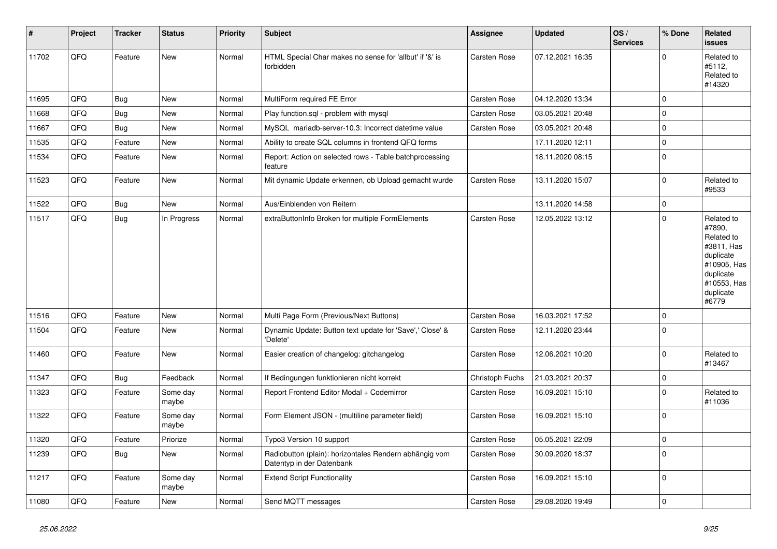| $\vert$ # | Project | <b>Tracker</b> | <b>Status</b>     | <b>Priority</b> | <b>Subject</b>                                                                      | Assignee            | <b>Updated</b>   | OS/<br><b>Services</b> | % Done      | Related<br><b>issues</b>                                                                                                       |
|-----------|---------|----------------|-------------------|-----------------|-------------------------------------------------------------------------------------|---------------------|------------------|------------------------|-------------|--------------------------------------------------------------------------------------------------------------------------------|
| 11702     | QFQ     | Feature        | <b>New</b>        | Normal          | HTML Special Char makes no sense for 'allbut' if '&' is<br>forbidden                | Carsten Rose        | 07.12.2021 16:35 |                        | $\Omega$    | Related to<br>#5112,<br>Related to<br>#14320                                                                                   |
| 11695     | QFQ     | <b>Bug</b>     | <b>New</b>        | Normal          | MultiForm required FE Error                                                         | Carsten Rose        | 04.12.2020 13:34 |                        | $\Omega$    |                                                                                                                                |
| 11668     | QFQ     | Bug            | <b>New</b>        | Normal          | Play function.sql - problem with mysql                                              | Carsten Rose        | 03.05.2021 20:48 |                        | $\Omega$    |                                                                                                                                |
| 11667     | QFQ     | <b>Bug</b>     | <b>New</b>        | Normal          | MySQL mariadb-server-10.3: Incorrect datetime value                                 | Carsten Rose        | 03.05.2021 20:48 |                        | $\Omega$    |                                                                                                                                |
| 11535     | QFQ     | Feature        | New               | Normal          | Ability to create SQL columns in frontend QFQ forms                                 |                     | 17.11.2020 12:11 |                        | $\Omega$    |                                                                                                                                |
| 11534     | QFQ     | Feature        | <b>New</b>        | Normal          | Report: Action on selected rows - Table batchprocessing<br>feature                  |                     | 18.11.2020 08:15 |                        | $\Omega$    |                                                                                                                                |
| 11523     | QFQ     | Feature        | <b>New</b>        | Normal          | Mit dynamic Update erkennen, ob Upload gemacht wurde                                | <b>Carsten Rose</b> | 13.11.2020 15:07 |                        | $\Omega$    | Related to<br>#9533                                                                                                            |
| 11522     | QFQ     | Bug            | New               | Normal          | Aus/Einblenden von Reitern                                                          |                     | 13.11.2020 14:58 |                        | $\mathbf 0$ |                                                                                                                                |
| 11517     | QFQ     | <b>Bug</b>     | In Progress       | Normal          | extraButtonInfo Broken for multiple FormElements                                    | Carsten Rose        | 12.05.2022 13:12 |                        | $\mathbf 0$ | Related to<br>#7890,<br>Related to<br>#3811, Has<br>duplicate<br>#10905, Has<br>duplicate<br>#10553, Has<br>duplicate<br>#6779 |
| 11516     | QFQ     | Feature        | <b>New</b>        | Normal          | Multi Page Form (Previous/Next Buttons)                                             | Carsten Rose        | 16.03.2021 17:52 |                        | $\mathbf 0$ |                                                                                                                                |
| 11504     | QFQ     | Feature        | <b>New</b>        | Normal          | Dynamic Update: Button text update for 'Save',' Close' &<br>'Delete'                | Carsten Rose        | 12.11.2020 23:44 |                        | $\Omega$    |                                                                                                                                |
| 11460     | QFQ     | Feature        | <b>New</b>        | Normal          | Easier creation of changelog: gitchangelog                                          | Carsten Rose        | 12.06.2021 10:20 |                        | $\Omega$    | Related to<br>#13467                                                                                                           |
| 11347     | QFQ     | <b>Bug</b>     | Feedback          | Normal          | If Bedingungen funktionieren nicht korrekt                                          | Christoph Fuchs     | 21.03.2021 20:37 |                        | $\pmb{0}$   |                                                                                                                                |
| 11323     | QFQ     | Feature        | Some day<br>maybe | Normal          | Report Frontend Editor Modal + Codemirror                                           | <b>Carsten Rose</b> | 16.09.2021 15:10 |                        | $\mathbf 0$ | Related to<br>#11036                                                                                                           |
| 11322     | QFQ     | Feature        | Some day<br>maybe | Normal          | Form Element JSON - (multiline parameter field)                                     | Carsten Rose        | 16.09.2021 15:10 |                        | $\Omega$    |                                                                                                                                |
| 11320     | QFQ     | Feature        | Priorize          | Normal          | Typo3 Version 10 support                                                            | Carsten Rose        | 05.05.2021 22:09 |                        | $\mathbf 0$ |                                                                                                                                |
| 11239     | QFQ     | <b>Bug</b>     | New               | Normal          | Radiobutton (plain): horizontales Rendern abhängig vom<br>Datentyp in der Datenbank | Carsten Rose        | 30.09.2020 18:37 |                        | $\mathbf 0$ |                                                                                                                                |
| 11217     | QFQ     | Feature        | Some day<br>maybe | Normal          | <b>Extend Script Functionality</b>                                                  | Carsten Rose        | 16.09.2021 15:10 |                        | $\Omega$    |                                                                                                                                |
| 11080     | QFQ     | Feature        | <b>New</b>        | Normal          | Send MQTT messages                                                                  | Carsten Rose        | 29.08.2020 19:49 |                        | $\mathbf 0$ |                                                                                                                                |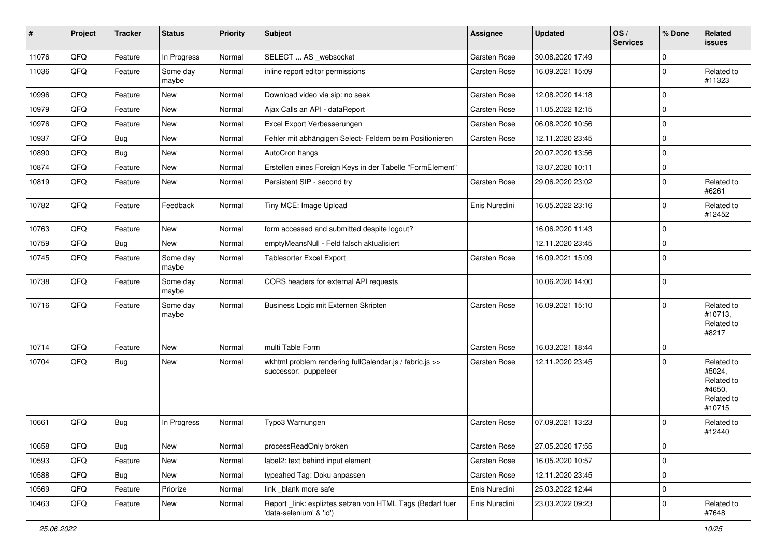| $\vert$ # | Project | <b>Tracker</b> | <b>Status</b>     | <b>Priority</b> | <b>Subject</b>                                                                      | Assignee            | <b>Updated</b>   | OS/<br><b>Services</b> | % Done      | Related<br><b>issues</b>                                             |
|-----------|---------|----------------|-------------------|-----------------|-------------------------------------------------------------------------------------|---------------------|------------------|------------------------|-------------|----------------------------------------------------------------------|
| 11076     | QFQ     | Feature        | In Progress       | Normal          | SELECT  AS _websocket                                                               | Carsten Rose        | 30.08.2020 17:49 |                        | $\mathbf 0$ |                                                                      |
| 11036     | QFQ     | Feature        | Some day<br>maybe | Normal          | inline report editor permissions                                                    | Carsten Rose        | 16.09.2021 15:09 |                        | $\Omega$    | Related to<br>#11323                                                 |
| 10996     | QFQ     | Feature        | New               | Normal          | Download video via sip: no seek                                                     | Carsten Rose        | 12.08.2020 14:18 |                        | $\mathbf 0$ |                                                                      |
| 10979     | QFQ     | Feature        | New               | Normal          | Ajax Calls an API - dataReport                                                      | Carsten Rose        | 11.05.2022 12:15 |                        | $\mathbf 0$ |                                                                      |
| 10976     | QFQ     | Feature        | New               | Normal          | Excel Export Verbesserungen                                                         | Carsten Rose        | 06.08.2020 10:56 |                        | $\Omega$    |                                                                      |
| 10937     | QFQ     | Bug            | New               | Normal          | Fehler mit abhängigen Select- Feldern beim Positionieren                            | Carsten Rose        | 12.11.2020 23:45 |                        | $\mathbf 0$ |                                                                      |
| 10890     | QFQ     | Bug            | New               | Normal          | AutoCron hangs                                                                      |                     | 20.07.2020 13:56 |                        | $\mathbf 0$ |                                                                      |
| 10874     | QFQ     | Feature        | <b>New</b>        | Normal          | Erstellen eines Foreign Keys in der Tabelle "FormElement"                           |                     | 13.07.2020 10:11 |                        | $\mathbf 0$ |                                                                      |
| 10819     | QFQ     | Feature        | New               | Normal          | Persistent SIP - second try                                                         | Carsten Rose        | 29.06.2020 23:02 |                        | $\Omega$    | Related to<br>#6261                                                  |
| 10782     | QFQ     | Feature        | Feedback          | Normal          | Tiny MCE: Image Upload                                                              | Enis Nuredini       | 16.05.2022 23:16 |                        | $\Omega$    | Related to<br>#12452                                                 |
| 10763     | QFQ     | Feature        | <b>New</b>        | Normal          | form accessed and submitted despite logout?                                         |                     | 16.06.2020 11:43 |                        | $\mathbf 0$ |                                                                      |
| 10759     | QFQ     | Bug            | New               | Normal          | emptyMeansNull - Feld falsch aktualisiert                                           |                     | 12.11.2020 23:45 |                        | $\mathbf 0$ |                                                                      |
| 10745     | QFQ     | Feature        | Some day<br>maybe | Normal          | <b>Tablesorter Excel Export</b>                                                     | Carsten Rose        | 16.09.2021 15:09 |                        | $\Omega$    |                                                                      |
| 10738     | QFQ     | Feature        | Some day<br>maybe | Normal          | CORS headers for external API requests                                              |                     | 10.06.2020 14:00 |                        | $\mathbf 0$ |                                                                      |
| 10716     | QFQ     | Feature        | Some day<br>maybe | Normal          | Business Logic mit Externen Skripten                                                | <b>Carsten Rose</b> | 16.09.2021 15:10 |                        | $\mathbf 0$ | Related to<br>#10713,<br>Related to<br>#8217                         |
| 10714     | QFQ     | Feature        | <b>New</b>        | Normal          | multi Table Form                                                                    | Carsten Rose        | 16.03.2021 18:44 |                        | 0           |                                                                      |
| 10704     | QFQ     | Bug            | New               | Normal          | wkhtml problem rendering fullCalendar.js / fabric.js >><br>successor: puppeteer     | Carsten Rose        | 12.11.2020 23:45 |                        | $\mathbf 0$ | Related to<br>#5024,<br>Related to<br>#4650,<br>Related to<br>#10715 |
| 10661     | QFQ     | Bug            | In Progress       | Normal          | Typo3 Warnungen                                                                     | Carsten Rose        | 07.09.2021 13:23 |                        | $\Omega$    | Related to<br>#12440                                                 |
| 10658     | QFO     | <b>Bug</b>     | New               | Normal          | processReadOnly broken                                                              | Carsten Rose        | 27.05.2020 17:55 |                        | 0           |                                                                      |
| 10593     | QFQ     | Feature        | New               | Normal          | label2: text behind input element                                                   | Carsten Rose        | 16.05.2020 10:57 |                        | $\mathbf 0$ |                                                                      |
| 10588     | QFQ     | Bug            | New               | Normal          | typeahed Tag: Doku anpassen                                                         | Carsten Rose        | 12.11.2020 23:45 |                        | 0           |                                                                      |
| 10569     | QFQ     | Feature        | Priorize          | Normal          | link blank more safe                                                                | Enis Nuredini       | 25.03.2022 12:44 |                        | 0           |                                                                      |
| 10463     | QFQ     | Feature        | New               | Normal          | Report_link: expliztes setzen von HTML Tags (Bedarf fuer<br>'data-selenium' & 'id') | Enis Nuredini       | 23.03.2022 09:23 |                        | 0           | Related to<br>#7648                                                  |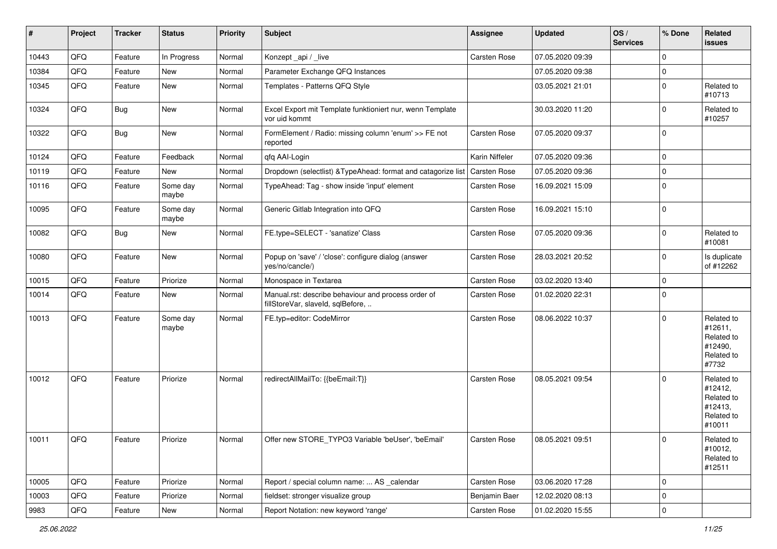| #     | Project | <b>Tracker</b> | <b>Status</b>     | <b>Priority</b> | <b>Subject</b>                                                                           | <b>Assignee</b> | <b>Updated</b>   | OS/<br><b>Services</b> | % Done         | Related<br><b>issues</b>                                               |
|-------|---------|----------------|-------------------|-----------------|------------------------------------------------------------------------------------------|-----------------|------------------|------------------------|----------------|------------------------------------------------------------------------|
| 10443 | QFQ     | Feature        | In Progress       | Normal          | Konzept_api / _live                                                                      | Carsten Rose    | 07.05.2020 09:39 |                        | $\Omega$       |                                                                        |
| 10384 | QFQ     | Feature        | <b>New</b>        | Normal          | Parameter Exchange QFQ Instances                                                         |                 | 07.05.2020 09:38 |                        | $\mathbf 0$    |                                                                        |
| 10345 | QFQ     | Feature        | <b>New</b>        | Normal          | Templates - Patterns QFQ Style                                                           |                 | 03.05.2021 21:01 |                        | 0              | Related to<br>#10713                                                   |
| 10324 | QFQ     | <b>Bug</b>     | New               | Normal          | Excel Export mit Template funktioniert nur, wenn Template<br>vor uid kommt               |                 | 30.03.2020 11:20 |                        | $\Omega$       | Related to<br>#10257                                                   |
| 10322 | QFQ     | Bug            | New               | Normal          | FormElement / Radio: missing column 'enum' >> FE not<br>reported                         | Carsten Rose    | 07.05.2020 09:37 |                        | 0              |                                                                        |
| 10124 | QFQ     | Feature        | Feedback          | Normal          | qfq AAI-Login                                                                            | Karin Niffeler  | 07.05.2020 09:36 |                        | 0              |                                                                        |
| 10119 | QFQ     | Feature        | New               | Normal          | Dropdown (selectlist) & TypeAhead: format and catagorize list                            | Carsten Rose    | 07.05.2020 09:36 |                        | $\mathbf 0$    |                                                                        |
| 10116 | QFQ     | Feature        | Some day<br>maybe | Normal          | TypeAhead: Tag - show inside 'input' element                                             | Carsten Rose    | 16.09.2021 15:09 |                        | $\Omega$       |                                                                        |
| 10095 | QFQ     | Feature        | Some day<br>maybe | Normal          | Generic Gitlab Integration into QFQ                                                      | Carsten Rose    | 16.09.2021 15:10 |                        | $\mathbf 0$    |                                                                        |
| 10082 | QFQ     | Bug            | New               | Normal          | FE.type=SELECT - 'sanatize' Class                                                        | Carsten Rose    | 07.05.2020 09:36 |                        | $\Omega$       | Related to<br>#10081                                                   |
| 10080 | QFQ     | Feature        | New               | Normal          | Popup on 'save' / 'close': configure dialog (answer<br>yes/no/cancle/)                   | Carsten Rose    | 28.03.2021 20:52 |                        | 0              | Is duplicate<br>of #12262                                              |
| 10015 | QFQ     | Feature        | Priorize          | Normal          | Monospace in Textarea                                                                    | Carsten Rose    | 03.02.2020 13:40 |                        | $\mathbf 0$    |                                                                        |
| 10014 | QFQ     | Feature        | New               | Normal          | Manual.rst: describe behaviour and process order of<br>fillStoreVar, slaveId, sqlBefore, | Carsten Rose    | 01.02.2020 22:31 |                        | $\mathbf 0$    |                                                                        |
| 10013 | QFQ     | Feature        | Some day<br>maybe | Normal          | FE.typ=editor: CodeMirror                                                                | Carsten Rose    | 08.06.2022 10:37 |                        | 0              | Related to<br>#12611,<br>Related to<br>#12490,<br>Related to<br>#7732  |
| 10012 | QFQ     | Feature        | Priorize          | Normal          | redirectAllMailTo: {{beEmail:T}}                                                         | Carsten Rose    | 08.05.2021 09:54 |                        | $\mathbf 0$    | Related to<br>#12412,<br>Related to<br>#12413,<br>Related to<br>#10011 |
| 10011 | QFG     | Feature        | Priorize          | Normal          | Offer new STORE_TYPO3 Variable 'beUser', 'beEmail'                                       | Carsten Rose    | 08.05.2021 09:51 |                        | $\mathbf 0$    | Related to<br>#10012,<br>Related to<br>#12511                          |
| 10005 | QFQ     | Feature        | Priorize          | Normal          | Report / special column name:  AS _calendar                                              | Carsten Rose    | 03.06.2020 17:28 |                        | 0              |                                                                        |
| 10003 | QFQ     | Feature        | Priorize          | Normal          | fieldset: stronger visualize group                                                       | Benjamin Baer   | 12.02.2020 08:13 |                        | $\mathbf 0$    |                                                                        |
| 9983  | QFQ     | Feature        | New               | Normal          | Report Notation: new keyword 'range'                                                     | Carsten Rose    | 01.02.2020 15:55 |                        | $\overline{0}$ |                                                                        |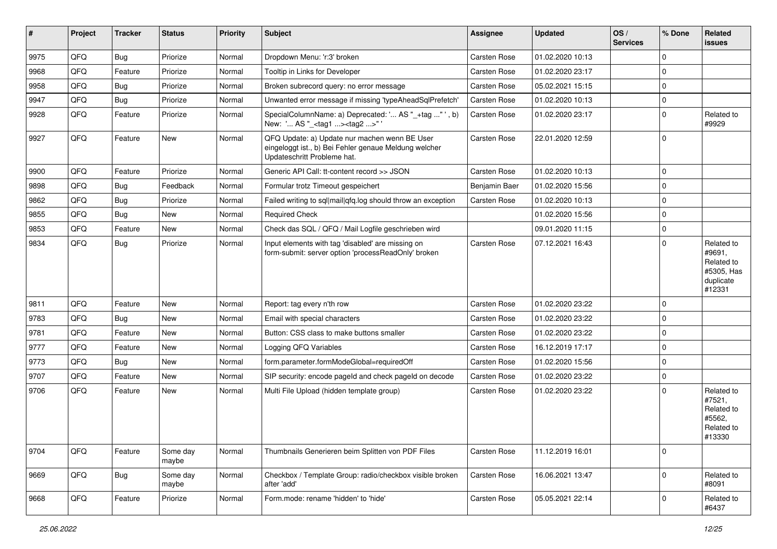| $\vert$ # | Project | <b>Tracker</b> | <b>Status</b>     | <b>Priority</b> | Subject                                                                                                                               | <b>Assignee</b> | <b>Updated</b>   | OS/<br><b>Services</b> | % Done      | Related<br><b>issues</b>                                                |
|-----------|---------|----------------|-------------------|-----------------|---------------------------------------------------------------------------------------------------------------------------------------|-----------------|------------------|------------------------|-------------|-------------------------------------------------------------------------|
| 9975      | QFQ     | Bug            | Priorize          | Normal          | Dropdown Menu: 'r:3' broken                                                                                                           | Carsten Rose    | 01.02.2020 10:13 |                        | $\Omega$    |                                                                         |
| 9968      | QFQ     | Feature        | Priorize          | Normal          | Tooltip in Links for Developer                                                                                                        | Carsten Rose    | 01.02.2020 23:17 |                        | $\mathbf 0$ |                                                                         |
| 9958      | QFQ     | <b>Bug</b>     | Priorize          | Normal          | Broken subrecord query: no error message                                                                                              | Carsten Rose    | 05.02.2021 15:15 |                        | $\Omega$    |                                                                         |
| 9947      | QFQ     | <b>Bug</b>     | Priorize          | Normal          | Unwanted error message if missing 'typeAheadSqlPrefetch'                                                                              | Carsten Rose    | 01.02.2020 10:13 |                        | $\mathbf 0$ |                                                                         |
| 9928      | QFQ     | Feature        | Priorize          | Normal          | SpecialColumnName: a) Deprecated: ' AS "_+tag " ', b)<br>New: ' AS "_ <tag1><tag2>" '</tag2></tag1>                                   | Carsten Rose    | 01.02.2020 23:17 |                        | 0           | Related to<br>#9929                                                     |
| 9927      | QFQ     | Feature        | New               | Normal          | QFQ Update: a) Update nur machen wenn BE User<br>eingeloggt ist., b) Bei Fehler genaue Meldung welcher<br>Updateschritt Probleme hat. | Carsten Rose    | 22.01.2020 12:59 |                        | $\mathbf 0$ |                                                                         |
| 9900      | QFQ     | Feature        | Priorize          | Normal          | Generic API Call: tt-content record >> JSON                                                                                           | Carsten Rose    | 01.02.2020 10:13 |                        | 0           |                                                                         |
| 9898      | QFQ     | <b>Bug</b>     | Feedback          | Normal          | Formular trotz Timeout gespeichert                                                                                                    | Benjamin Baer   | 01.02.2020 15:56 |                        | $\Omega$    |                                                                         |
| 9862      | QFQ     | <b>Bug</b>     | Priorize          | Normal          | Failed writing to sql mail qfq.log should throw an exception                                                                          | Carsten Rose    | 01.02.2020 10:13 |                        | $\mathbf 0$ |                                                                         |
| 9855      | QFQ     | Bug            | New               | Normal          | <b>Required Check</b>                                                                                                                 |                 | 01.02.2020 15:56 |                        | $\mathbf 0$ |                                                                         |
| 9853      | QFQ     | Feature        | New               | Normal          | Check das SQL / QFQ / Mail Logfile geschrieben wird                                                                                   |                 | 09.01.2020 11:15 |                        | $\mathbf 0$ |                                                                         |
| 9834      | QFQ     | Bug            | Priorize          | Normal          | Input elements with tag 'disabled' are missing on<br>form-submit: server option 'processReadOnly' broken                              | Carsten Rose    | 07.12.2021 16:43 |                        | $\Omega$    | Related to<br>#9691,<br>Related to<br>#5305, Has<br>duplicate<br>#12331 |
| 9811      | QFQ     | Feature        | New               | Normal          | Report: tag every n'th row                                                                                                            | Carsten Rose    | 01.02.2020 23:22 |                        | 0           |                                                                         |
| 9783      | QFQ     | Bug            | New               | Normal          | Email with special characters                                                                                                         | Carsten Rose    | 01.02.2020 23:22 |                        | $\Omega$    |                                                                         |
| 9781      | QFQ     | Feature        | <b>New</b>        | Normal          | Button: CSS class to make buttons smaller                                                                                             | Carsten Rose    | 01.02.2020 23:22 |                        | 0           |                                                                         |
| 9777      | QFQ     | Feature        | New               | Normal          | Logging QFQ Variables                                                                                                                 | Carsten Rose    | 16.12.2019 17:17 |                        | $\mathbf 0$ |                                                                         |
| 9773      | QFQ     | <b>Bug</b>     | New               | Normal          | form.parameter.formModeGlobal=requiredOff                                                                                             | Carsten Rose    | 01.02.2020 15:56 |                        | $\mathbf 0$ |                                                                         |
| 9707      | QFQ     | Feature        | New               | Normal          | SIP security: encode pageId and check pageId on decode                                                                                | Carsten Rose    | 01.02.2020 23:22 |                        | $\mathbf 0$ |                                                                         |
| 9706      | QFQ     | Feature        | New               | Normal          | Multi File Upload (hidden template group)                                                                                             | Carsten Rose    | 01.02.2020 23:22 |                        | $\Omega$    | Related to<br>#7521,<br>Related to<br>#5562,<br>Related to<br>#13330    |
| 9704      | QFQ     | Feature        | Some day<br>maybe | Normal          | Thumbnails Generieren beim Splitten von PDF Files                                                                                     | Carsten Rose    | 11.12.2019 16:01 |                        | $\mathbf 0$ |                                                                         |
| 9669      | QFQ     | <b>Bug</b>     | Some day<br>maybe | Normal          | Checkbox / Template Group: radio/checkbox visible broken<br>after 'add'                                                               | Carsten Rose    | 16.06.2021 13:47 |                        | $\mathbf 0$ | Related to<br>#8091                                                     |
| 9668      | QFQ     | Feature        | Priorize          | Normal          | Form.mode: rename 'hidden' to 'hide'                                                                                                  | Carsten Rose    | 05.05.2021 22:14 |                        | 0           | Related to<br>#6437                                                     |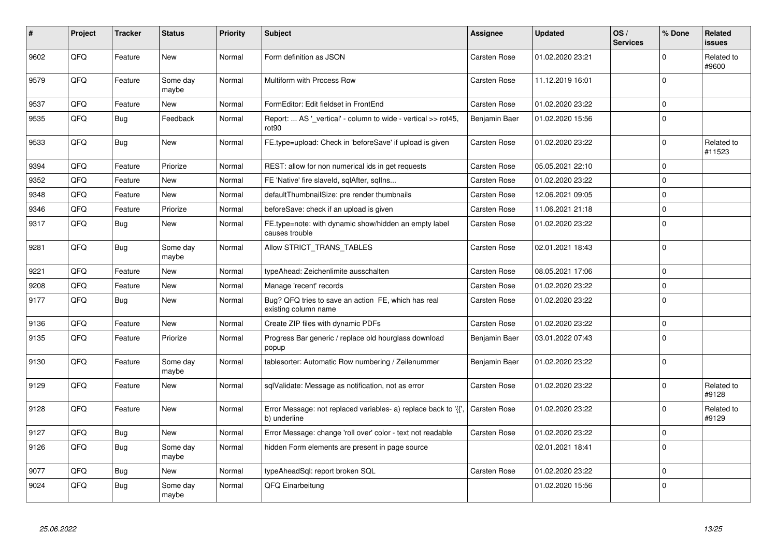| #    | Project | <b>Tracker</b> | <b>Status</b>     | <b>Priority</b> | <b>Subject</b>                                                                  | <b>Assignee</b>     | <b>Updated</b>   | OS/<br><b>Services</b> | % Done      | Related<br><b>issues</b> |
|------|---------|----------------|-------------------|-----------------|---------------------------------------------------------------------------------|---------------------|------------------|------------------------|-------------|--------------------------|
| 9602 | QFQ     | Feature        | <b>New</b>        | Normal          | Form definition as JSON                                                         | Carsten Rose        | 01.02.2020 23:21 |                        | $\Omega$    | Related to<br>#9600      |
| 9579 | QFQ     | Feature        | Some day<br>maybe | Normal          | Multiform with Process Row                                                      | Carsten Rose        | 11.12.2019 16:01 |                        | $\mathbf 0$ |                          |
| 9537 | QFQ     | Feature        | New               | Normal          | FormEditor: Edit fieldset in FrontEnd                                           | Carsten Rose        | 01.02.2020 23:22 |                        | $\Omega$    |                          |
| 9535 | QFQ     | <b>Bug</b>     | Feedback          | Normal          | Report:  AS ' vertical' - column to wide - vertical >> rot45,<br>rot90          | Benjamin Baer       | 01.02.2020 15:56 |                        | $\Omega$    |                          |
| 9533 | QFQ     | Bug            | <b>New</b>        | Normal          | FE.type=upload: Check in 'beforeSave' if upload is given                        | Carsten Rose        | 01.02.2020 23:22 |                        | $\Omega$    | Related to<br>#11523     |
| 9394 | QFQ     | Feature        | Priorize          | Normal          | REST: allow for non numerical ids in get requests                               | Carsten Rose        | 05.05.2021 22:10 |                        | $\Omega$    |                          |
| 9352 | QFQ     | Feature        | New               | Normal          | FE 'Native' fire slaveld, sqlAfter, sqlIns                                      | Carsten Rose        | 01.02.2020 23:22 |                        | $\Omega$    |                          |
| 9348 | QFQ     | Feature        | <b>New</b>        | Normal          | defaultThumbnailSize: pre render thumbnails                                     | Carsten Rose        | 12.06.2021 09:05 |                        | $\Omega$    |                          |
| 9346 | QFQ     | Feature        | Priorize          | Normal          | beforeSave: check if an upload is given                                         | Carsten Rose        | 11.06.2021 21:18 |                        | $\Omega$    |                          |
| 9317 | QFQ     | Bug            | New               | Normal          | FE.type=note: with dynamic show/hidden an empty label<br>causes trouble         | Carsten Rose        | 01.02.2020 23:22 |                        | $\Omega$    |                          |
| 9281 | QFQ     | <b>Bug</b>     | Some day<br>maybe | Normal          | Allow STRICT TRANS TABLES                                                       | Carsten Rose        | 02.01.2021 18:43 |                        | $\Omega$    |                          |
| 9221 | QFQ     | Feature        | New               | Normal          | typeAhead: Zeichenlimite ausschalten                                            | Carsten Rose        | 08.05.2021 17:06 |                        | $\mathbf 0$ |                          |
| 9208 | QFQ     | Feature        | <b>New</b>        | Normal          | Manage 'recent' records                                                         | Carsten Rose        | 01.02.2020 23:22 |                        | $\Omega$    |                          |
| 9177 | QFQ     | <b>Bug</b>     | New               | Normal          | Bug? QFQ tries to save an action FE, which has real<br>existing column name     | Carsten Rose        | 01.02.2020 23:22 |                        | $\Omega$    |                          |
| 9136 | QFQ     | Feature        | New               | Normal          | Create ZIP files with dynamic PDFs                                              | Carsten Rose        | 01.02.2020 23:22 |                        | $\mathbf 0$ |                          |
| 9135 | QFQ     | Feature        | Priorize          | Normal          | Progress Bar generic / replace old hourglass download<br>popup                  | Benjamin Baer       | 03.01.2022 07:43 |                        | $\Omega$    |                          |
| 9130 | QFQ     | Feature        | Some day<br>maybe | Normal          | tablesorter: Automatic Row numbering / Zeilenummer                              | Benjamin Baer       | 01.02.2020 23:22 |                        | $\Omega$    |                          |
| 9129 | QFQ     | Feature        | New               | Normal          | sqlValidate: Message as notification, not as error                              | Carsten Rose        | 01.02.2020 23:22 |                        | $\Omega$    | Related to<br>#9128      |
| 9128 | QFQ     | Feature        | New               | Normal          | Error Message: not replaced variables- a) replace back to '{{',<br>b) underline | <b>Carsten Rose</b> | 01.02.2020 23:22 |                        | $\Omega$    | Related to<br>#9129      |
| 9127 | QFQ     | Bug            | New               | Normal          | Error Message: change 'roll over' color - text not readable                     | Carsten Rose        | 01.02.2020 23:22 |                        | $\mathbf 0$ |                          |
| 9126 | QFQ     | <b>Bug</b>     | Some day<br>maybe | Normal          | hidden Form elements are present in page source                                 |                     | 02.01.2021 18:41 |                        | $\mathbf 0$ |                          |
| 9077 | QFQ     | <b>Bug</b>     | New               | Normal          | typeAheadSql: report broken SQL                                                 | <b>Carsten Rose</b> | 01.02.2020 23:22 |                        | $\Omega$    |                          |
| 9024 | QFQ     | Bug            | Some day<br>maybe | Normal          | QFQ Einarbeitung                                                                |                     | 01.02.2020 15:56 |                        | $\Omega$    |                          |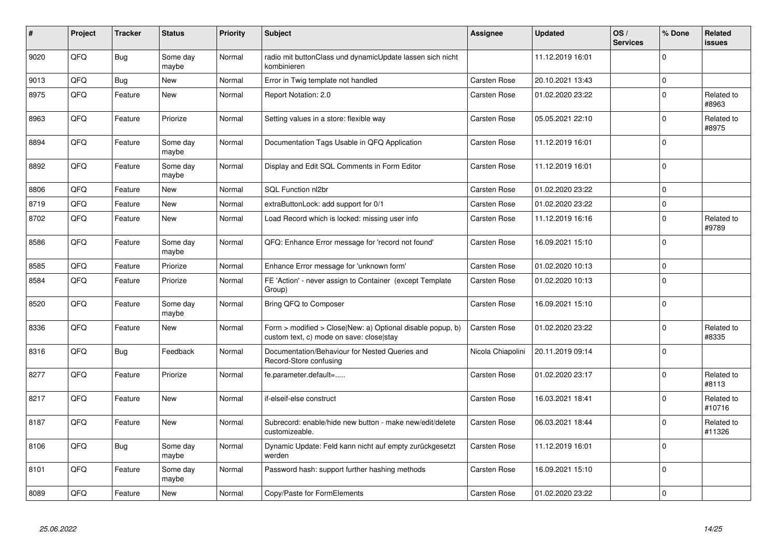| #    | Project | <b>Tracker</b> | <b>Status</b>     | <b>Priority</b> | <b>Subject</b>                                                                                         | <b>Assignee</b>     | <b>Updated</b>   | OS/<br><b>Services</b> | % Done      | Related<br><b>issues</b> |
|------|---------|----------------|-------------------|-----------------|--------------------------------------------------------------------------------------------------------|---------------------|------------------|------------------------|-------------|--------------------------|
| 9020 | QFQ     | <b>Bug</b>     | Some day<br>maybe | Normal          | radio mit buttonClass und dynamicUpdate lassen sich nicht<br>kombinieren                               |                     | 11.12.2019 16:01 |                        | $\Omega$    |                          |
| 9013 | QFQ     | <b>Bug</b>     | <b>New</b>        | Normal          | Error in Twig template not handled                                                                     | Carsten Rose        | 20.10.2021 13:43 |                        | $\mathbf 0$ |                          |
| 8975 | QFQ     | Feature        | New               | Normal          | Report Notation: 2.0                                                                                   | Carsten Rose        | 01.02.2020 23:22 |                        | $\Omega$    | Related to<br>#8963      |
| 8963 | QFQ     | Feature        | Priorize          | Normal          | Setting values in a store: flexible way                                                                | Carsten Rose        | 05.05.2021 22:10 |                        | $\Omega$    | Related to<br>#8975      |
| 8894 | QFQ     | Feature        | Some day<br>maybe | Normal          | Documentation Tags Usable in QFQ Application                                                           | Carsten Rose        | 11.12.2019 16:01 |                        | $\mathbf 0$ |                          |
| 8892 | QFQ     | Feature        | Some day<br>maybe | Normal          | Display and Edit SQL Comments in Form Editor                                                           | Carsten Rose        | 11.12.2019 16:01 |                        | $\Omega$    |                          |
| 8806 | QFQ     | Feature        | <b>New</b>        | Normal          | SQL Function nl2br                                                                                     | Carsten Rose        | 01.02.2020 23:22 |                        | $\Omega$    |                          |
| 8719 | QFQ     | Feature        | <b>New</b>        | Normal          | extraButtonLock: add support for 0/1                                                                   | Carsten Rose        | 01.02.2020 23:22 |                        | $\mathbf 0$ |                          |
| 8702 | QFQ     | Feature        | <b>New</b>        | Normal          | Load Record which is locked: missing user info                                                         | Carsten Rose        | 11.12.2019 16:16 |                        | $\Omega$    | Related to<br>#9789      |
| 8586 | QFQ     | Feature        | Some day<br>maybe | Normal          | QFQ: Enhance Error message for 'record not found'                                                      | Carsten Rose        | 16.09.2021 15:10 |                        | $\Omega$    |                          |
| 8585 | QFQ     | Feature        | Priorize          | Normal          | Enhance Error message for 'unknown form'                                                               | Carsten Rose        | 01.02.2020 10:13 |                        | $\mathbf 0$ |                          |
| 8584 | QFQ     | Feature        | Priorize          | Normal          | FE 'Action' - never assign to Container (except Template<br>Group)                                     | Carsten Rose        | 01.02.2020 10:13 |                        | $\Omega$    |                          |
| 8520 | QFQ     | Feature        | Some day<br>maybe | Normal          | Bring QFQ to Composer                                                                                  | Carsten Rose        | 16.09.2021 15:10 |                        | $\mathbf 0$ |                          |
| 8336 | QFQ     | Feature        | <b>New</b>        | Normal          | Form > modified > Close New: a) Optional disable popup, b)<br>custom text, c) mode on save: close stay | <b>Carsten Rose</b> | 01.02.2020 23:22 |                        | $\Omega$    | Related to<br>#8335      |
| 8316 | QFQ     | <b>Bug</b>     | Feedback          | Normal          | Documentation/Behaviour for Nested Queries and<br>Record-Store confusing                               | Nicola Chiapolini   | 20.11.2019 09:14 |                        | $\Omega$    |                          |
| 8277 | QFQ     | Feature        | Priorize          | Normal          | fe.parameter.default=                                                                                  | Carsten Rose        | 01.02.2020 23:17 |                        | $\Omega$    | Related to<br>#8113      |
| 8217 | QFQ     | Feature        | <b>New</b>        | Normal          | if-elseif-else construct                                                                               | Carsten Rose        | 16.03.2021 18:41 |                        | $\Omega$    | Related to<br>#10716     |
| 8187 | QFQ     | Feature        | <b>New</b>        | Normal          | Subrecord: enable/hide new button - make new/edit/delete<br>customizeable.                             | Carsten Rose        | 06.03.2021 18:44 |                        | $\Omega$    | Related to<br>#11326     |
| 8106 | QFQ     | <b>Bug</b>     | Some day<br>maybe | Normal          | Dynamic Update: Feld kann nicht auf empty zurückgesetzt<br>werden                                      | Carsten Rose        | 11.12.2019 16:01 |                        | $\Omega$    |                          |
| 8101 | QFQ     | Feature        | Some day<br>maybe | Normal          | Password hash: support further hashing methods                                                         | Carsten Rose        | 16.09.2021 15:10 |                        | $\Omega$    |                          |
| 8089 | QFQ     | Feature        | <b>New</b>        | Normal          | Copy/Paste for FormElements                                                                            | Carsten Rose        | 01.02.2020 23:22 |                        | $\mathbf 0$ |                          |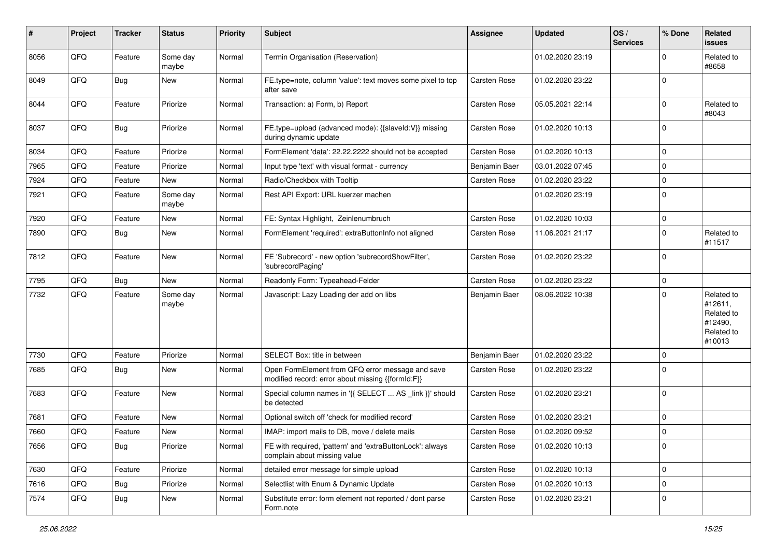| #    | Project | <b>Tracker</b> | <b>Status</b>     | <b>Priority</b> | Subject                                                                                               | Assignee      | <b>Updated</b>   | OS/<br><b>Services</b> | % Done      | Related<br>issues                                                      |
|------|---------|----------------|-------------------|-----------------|-------------------------------------------------------------------------------------------------------|---------------|------------------|------------------------|-------------|------------------------------------------------------------------------|
| 8056 | QFQ     | Feature        | Some day<br>maybe | Normal          | Termin Organisation (Reservation)                                                                     |               | 01.02.2020 23:19 |                        | $\Omega$    | Related to<br>#8658                                                    |
| 8049 | QFQ     | Bug            | New               | Normal          | FE.type=note, column 'value': text moves some pixel to top<br>after save                              | Carsten Rose  | 01.02.2020 23:22 |                        | $\Omega$    |                                                                        |
| 8044 | QFQ     | Feature        | Priorize          | Normal          | Transaction: a) Form, b) Report                                                                       | Carsten Rose  | 05.05.2021 22:14 |                        | $\Omega$    | Related to<br>#8043                                                    |
| 8037 | QFQ     | Bug            | Priorize          | Normal          | FE.type=upload (advanced mode): {{slaveId:V}} missing<br>during dynamic update                        | Carsten Rose  | 01.02.2020 10:13 |                        | $\Omega$    |                                                                        |
| 8034 | QFQ     | Feature        | Priorize          | Normal          | FormElement 'data': 22.22.2222 should not be accepted                                                 | Carsten Rose  | 01.02.2020 10:13 |                        | $\Omega$    |                                                                        |
| 7965 | QFQ     | Feature        | Priorize          | Normal          | Input type 'text' with visual format - currency                                                       | Benjamin Baer | 03.01.2022 07:45 |                        | $\mathbf 0$ |                                                                        |
| 7924 | QFQ     | Feature        | New               | Normal          | Radio/Checkbox with Tooltip                                                                           | Carsten Rose  | 01.02.2020 23:22 |                        | $\mathbf 0$ |                                                                        |
| 7921 | QFQ     | Feature        | Some day<br>maybe | Normal          | Rest API Export: URL kuerzer machen                                                                   |               | 01.02.2020 23:19 |                        | $\Omega$    |                                                                        |
| 7920 | QFQ     | Feature        | <b>New</b>        | Normal          | FE: Syntax Highlight, Zeinlenumbruch                                                                  | Carsten Rose  | 01.02.2020 10:03 |                        | 0           |                                                                        |
| 7890 | QFQ     | Bug            | New               | Normal          | FormElement 'required': extraButtonInfo not aligned                                                   | Carsten Rose  | 11.06.2021 21:17 |                        | $\mathbf 0$ | Related to<br>#11517                                                   |
| 7812 | QFQ     | Feature        | <b>New</b>        | Normal          | FE 'Subrecord' - new option 'subrecordShowFilter',<br>'subrecordPaging'                               | Carsten Rose  | 01.02.2020 23:22 |                        | 0           |                                                                        |
| 7795 | QFQ     | <b>Bug</b>     | <b>New</b>        | Normal          | Readonly Form: Typeahead-Felder                                                                       | Carsten Rose  | 01.02.2020 23:22 |                        | $\mathbf 0$ |                                                                        |
| 7732 | QFQ     | Feature        | Some day<br>maybe | Normal          | Javascript: Lazy Loading der add on libs                                                              | Benjamin Baer | 08.06.2022 10:38 |                        | $\Omega$    | Related to<br>#12611,<br>Related to<br>#12490,<br>Related to<br>#10013 |
| 7730 | QFQ     | Feature        | Priorize          | Normal          | SELECT Box: title in between                                                                          | Benjamin Baer | 01.02.2020 23:22 |                        | $\Omega$    |                                                                        |
| 7685 | QFQ     | Bug            | <b>New</b>        | Normal          | Open FormElement from QFQ error message and save<br>modified record: error about missing {{formId:F}} | Carsten Rose  | 01.02.2020 23:22 |                        | $\Omega$    |                                                                        |
| 7683 | QFQ     | Feature        | New               | Normal          | Special column names in '{{ SELECT  AS _link }}' should<br>be detected                                | Carsten Rose  | 01.02.2020 23:21 |                        | $\Omega$    |                                                                        |
| 7681 | QFQ     | Feature        | <b>New</b>        | Normal          | Optional switch off 'check for modified record'                                                       | Carsten Rose  | 01.02.2020 23:21 |                        | $\mathbf 0$ |                                                                        |
| 7660 | QFQ     | Feature        | New               | Normal          | IMAP: import mails to DB, move / delete mails                                                         | Carsten Rose  | 01.02.2020 09:52 |                        | $\mathbf 0$ |                                                                        |
| 7656 | QFQ     | <b>Bug</b>     | Priorize          | Normal          | FE with required, 'pattern' and 'extraButtonLock': always<br>complain about missing value             | Carsten Rose  | 01.02.2020 10:13 |                        | 0           |                                                                        |
| 7630 | QFQ     | Feature        | Priorize          | Normal          | detailed error message for simple upload                                                              | Carsten Rose  | 01.02.2020 10:13 |                        | 0           |                                                                        |
| 7616 | QFQ     | <b>Bug</b>     | Priorize          | Normal          | Selectlist with Enum & Dynamic Update                                                                 | Carsten Rose  | 01.02.2020 10:13 |                        | $\mathbf 0$ |                                                                        |
| 7574 | QFQ     | <b>Bug</b>     | New               | Normal          | Substitute error: form element not reported / dont parse<br>Form.note                                 | Carsten Rose  | 01.02.2020 23:21 |                        | 0           |                                                                        |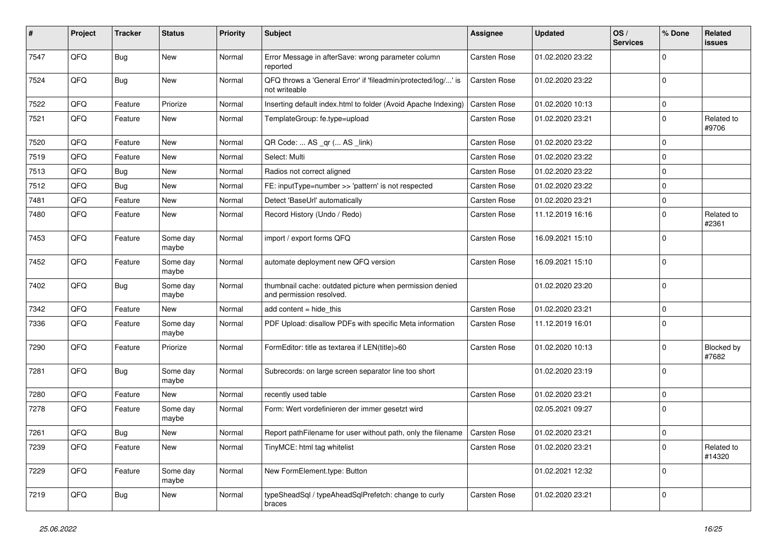| #    | Project | <b>Tracker</b> | <b>Status</b>     | <b>Priority</b> | Subject                                                                              | Assignee            | <b>Updated</b>   | OS/<br><b>Services</b> | % Done      | Related<br>issues    |
|------|---------|----------------|-------------------|-----------------|--------------------------------------------------------------------------------------|---------------------|------------------|------------------------|-------------|----------------------|
| 7547 | QFQ     | Bug            | <b>New</b>        | Normal          | Error Message in afterSave: wrong parameter column<br>reported                       | <b>Carsten Rose</b> | 01.02.2020 23:22 |                        | $\Omega$    |                      |
| 7524 | QFQ     | Bug            | New               | Normal          | QFQ throws a 'General Error' if 'fileadmin/protected/log/' is<br>not writeable       | Carsten Rose        | 01.02.2020 23:22 |                        | $\Omega$    |                      |
| 7522 | QFQ     | Feature        | Priorize          | Normal          | Inserting default index.html to folder (Avoid Apache Indexing)                       | Carsten Rose        | 01.02.2020 10:13 |                        | 0           |                      |
| 7521 | QFQ     | Feature        | New               | Normal          | TemplateGroup: fe.type=upload                                                        | Carsten Rose        | 01.02.2020 23:21 |                        | $\Omega$    | Related to<br>#9706  |
| 7520 | QFQ     | Feature        | <b>New</b>        | Normal          | QR Code:  AS _qr ( AS _link)                                                         | Carsten Rose        | 01.02.2020 23:22 |                        | $\Omega$    |                      |
| 7519 | QFQ     | Feature        | New               | Normal          | Select: Multi                                                                        | Carsten Rose        | 01.02.2020 23:22 |                        | $\Omega$    |                      |
| 7513 | QFQ     | <b>Bug</b>     | <b>New</b>        | Normal          | Radios not correct aligned                                                           | Carsten Rose        | 01.02.2020 23:22 |                        | $\Omega$    |                      |
| 7512 | QFQ     | Bug            | <b>New</b>        | Normal          | FE: inputType=number >> 'pattern' is not respected                                   | Carsten Rose        | 01.02.2020 23:22 |                        | $\Omega$    |                      |
| 7481 | QFQ     | Feature        | <b>New</b>        | Normal          | Detect 'BaseUrl' automatically                                                       | <b>Carsten Rose</b> | 01.02.2020 23:21 |                        | $\mathbf 0$ |                      |
| 7480 | QFQ     | Feature        | <b>New</b>        | Normal          | Record History (Undo / Redo)                                                         | Carsten Rose        | 11.12.2019 16:16 |                        | $\Omega$    | Related to<br>#2361  |
| 7453 | QFQ     | Feature        | Some day<br>maybe | Normal          | import / export forms QFQ                                                            | <b>Carsten Rose</b> | 16.09.2021 15:10 |                        | $\mathbf 0$ |                      |
| 7452 | QFQ     | Feature        | Some day<br>maybe | Normal          | automate deployment new QFQ version                                                  | Carsten Rose        | 16.09.2021 15:10 |                        | $\Omega$    |                      |
| 7402 | QFQ     | <b>Bug</b>     | Some day<br>maybe | Normal          | thumbnail cache: outdated picture when permission denied<br>and permission resolved. |                     | 01.02.2020 23:20 |                        | $\Omega$    |                      |
| 7342 | QFQ     | Feature        | <b>New</b>        | Normal          | add content $=$ hide this                                                            | Carsten Rose        | 01.02.2020 23:21 |                        | $\Omega$    |                      |
| 7336 | QFQ     | Feature        | Some day<br>maybe | Normal          | PDF Upload: disallow PDFs with specific Meta information                             | Carsten Rose        | 11.12.2019 16:01 |                        | $\mathbf 0$ |                      |
| 7290 | QFQ     | Feature        | Priorize          | Normal          | FormEditor: title as textarea if LEN(title)>60                                       | Carsten Rose        | 01.02.2020 10:13 |                        | $\Omega$    | Blocked by<br>#7682  |
| 7281 | QFQ     | Bug            | Some day<br>maybe | Normal          | Subrecords: on large screen separator line too short                                 |                     | 01.02.2020 23:19 |                        | $\Omega$    |                      |
| 7280 | QFQ     | Feature        | <b>New</b>        | Normal          | recently used table                                                                  | <b>Carsten Rose</b> | 01.02.2020 23:21 |                        | $\Omega$    |                      |
| 7278 | QFQ     | Feature        | Some day<br>maybe | Normal          | Form: Wert vordefinieren der immer gesetzt wird                                      |                     | 02.05.2021 09:27 |                        | $\mathbf 0$ |                      |
| 7261 | QFQ     | <b>Bug</b>     | <b>New</b>        | Normal          | Report pathFilename for user without path, only the filename                         | <b>Carsten Rose</b> | 01.02.2020 23:21 |                        | $\mathbf 0$ |                      |
| 7239 | QFQ     | Feature        | New               | Normal          | TinyMCE: html tag whitelist                                                          | Carsten Rose        | 01.02.2020 23:21 |                        | $\mathbf 0$ | Related to<br>#14320 |
| 7229 | QFQ     | Feature        | Some day<br>maybe | Normal          | New FormElement.type: Button                                                         |                     | 01.02.2021 12:32 |                        | $\mathbf 0$ |                      |
| 7219 | QFQ     | <b>Bug</b>     | New               | Normal          | typeSheadSql / typeAheadSqlPrefetch: change to curly<br>braces                       | Carsten Rose        | 01.02.2020 23:21 |                        | $\mathbf 0$ |                      |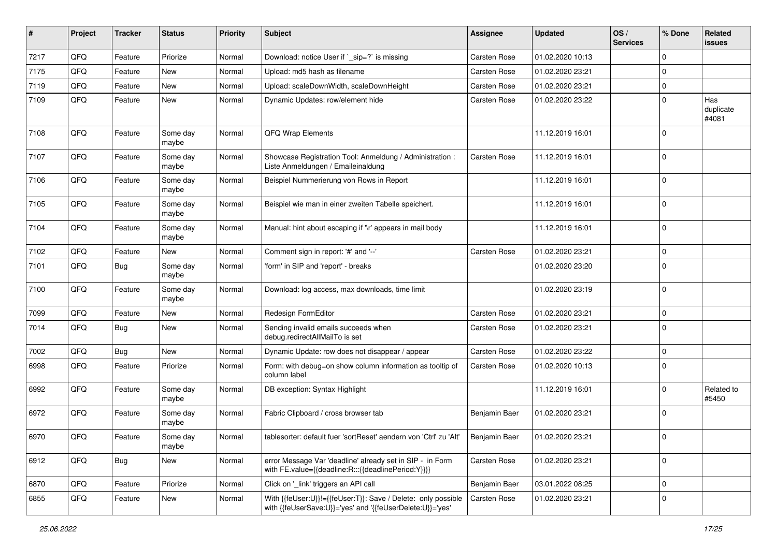| ∦    | Project | <b>Tracker</b> | <b>Status</b>     | <b>Priority</b> | Subject                                                                                                                    | <b>Assignee</b> | <b>Updated</b>   | OS/<br><b>Services</b> | % Done         | Related<br>issues         |
|------|---------|----------------|-------------------|-----------------|----------------------------------------------------------------------------------------------------------------------------|-----------------|------------------|------------------------|----------------|---------------------------|
| 7217 | QFQ     | Feature        | Priorize          | Normal          | Download: notice User if `_sip=?` is missing                                                                               | Carsten Rose    | 01.02.2020 10:13 |                        | $\Omega$       |                           |
| 7175 | QFQ     | Feature        | New               | Normal          | Upload: md5 hash as filename                                                                                               | Carsten Rose    | 01.02.2020 23:21 |                        | 0              |                           |
| 7119 | QFQ     | Feature        | <b>New</b>        | Normal          | Upload: scaleDownWidth, scaleDownHeight                                                                                    | Carsten Rose    | 01.02.2020 23:21 |                        | 0              |                           |
| 7109 | QFQ     | Feature        | New               | Normal          | Dynamic Updates: row/element hide                                                                                          | Carsten Rose    | 01.02.2020 23:22 |                        | $\Omega$       | Has<br>duplicate<br>#4081 |
| 7108 | QFQ     | Feature        | Some day<br>maybe | Normal          | QFQ Wrap Elements                                                                                                          |                 | 11.12.2019 16:01 |                        | $\Omega$       |                           |
| 7107 | QFQ     | Feature        | Some day<br>maybe | Normal          | Showcase Registration Tool: Anmeldung / Administration :<br>Liste Anmeldungen / Emaileinaldung                             | Carsten Rose    | 11.12.2019 16:01 |                        | $\mathbf 0$    |                           |
| 7106 | QFQ     | Feature        | Some day<br>maybe | Normal          | Beispiel Nummerierung von Rows in Report                                                                                   |                 | 11.12.2019 16:01 |                        | $\Omega$       |                           |
| 7105 | QFQ     | Feature        | Some day<br>maybe | Normal          | Beispiel wie man in einer zweiten Tabelle speichert.                                                                       |                 | 11.12.2019 16:01 |                        | $\mathbf 0$    |                           |
| 7104 | QFQ     | Feature        | Some day<br>maybe | Normal          | Manual: hint about escaping if '\r' appears in mail body                                                                   |                 | 11.12.2019 16:01 |                        | $\Omega$       |                           |
| 7102 | QFQ     | Feature        | <b>New</b>        | Normal          | Comment sign in report: '#' and '--'                                                                                       | Carsten Rose    | 01.02.2020 23:21 |                        | $\mathbf 0$    |                           |
| 7101 | QFQ     | <b>Bug</b>     | Some day<br>maybe | Normal          | 'form' in SIP and 'report' - breaks                                                                                        |                 | 01.02.2020 23:20 |                        | $\mathbf 0$    |                           |
| 7100 | QFQ     | Feature        | Some day<br>maybe | Normal          | Download: log access, max downloads, time limit                                                                            |                 | 01.02.2020 23:19 |                        | 0              |                           |
| 7099 | QFQ     | Feature        | <b>New</b>        | Normal          | Redesign FormEditor                                                                                                        | Carsten Rose    | 01.02.2020 23:21 |                        | 0              |                           |
| 7014 | QFQ     | <b>Bug</b>     | <b>New</b>        | Normal          | Sending invalid emails succeeds when<br>debug.redirectAllMailTo is set                                                     | Carsten Rose    | 01.02.2020 23:21 |                        | $\Omega$       |                           |
| 7002 | QFQ     | Bug            | <b>New</b>        | Normal          | Dynamic Update: row does not disappear / appear                                                                            | Carsten Rose    | 01.02.2020 23:22 |                        | 0              |                           |
| 6998 | QFQ     | Feature        | Priorize          | Normal          | Form: with debug=on show column information as tooltip of<br>column label                                                  | Carsten Rose    | 01.02.2020 10:13 |                        | $\mathbf 0$    |                           |
| 6992 | QFQ     | Feature        | Some day<br>maybe | Normal          | DB exception: Syntax Highlight                                                                                             |                 | 11.12.2019 16:01 |                        | 0              | Related to<br>#5450       |
| 6972 | QFQ     | Feature        | Some day<br>maybe | Normal          | Fabric Clipboard / cross browser tab                                                                                       | Benjamin Baer   | 01.02.2020 23:21 |                        | $\Omega$       |                           |
| 6970 | QFQ     | Feature        | Some day<br>maybe | Normal          | tablesorter: default fuer 'sortReset' aendern von 'Ctrl' zu 'Alt'                                                          | Benjamin Baer   | 01.02.2020 23:21 |                        | $\overline{0}$ |                           |
| 6912 | QFQ     | <b>Bug</b>     | New               | Normal          | error Message Var 'deadline' already set in SIP - in Form<br>with FE.value={{deadline:R:::{{deadlinePeriod:Y}}}}           | Carsten Rose    | 01.02.2020 23:21 |                        | 0              |                           |
| 6870 | QFQ     | Feature        | Priorize          | Normal          | Click on '_link' triggers an API call                                                                                      | Benjamin Baer   | 03.01.2022 08:25 |                        | $\mathbf 0$    |                           |
| 6855 | QFQ     | Feature        | New               | Normal          | With {{feUser:U}}!={{feUser:T}}: Save / Delete: only possible<br>with {{feUserSave:U}}='yes' and '{{feUserDelete:U}}='yes' | Carsten Rose    | 01.02.2020 23:21 |                        | 0              |                           |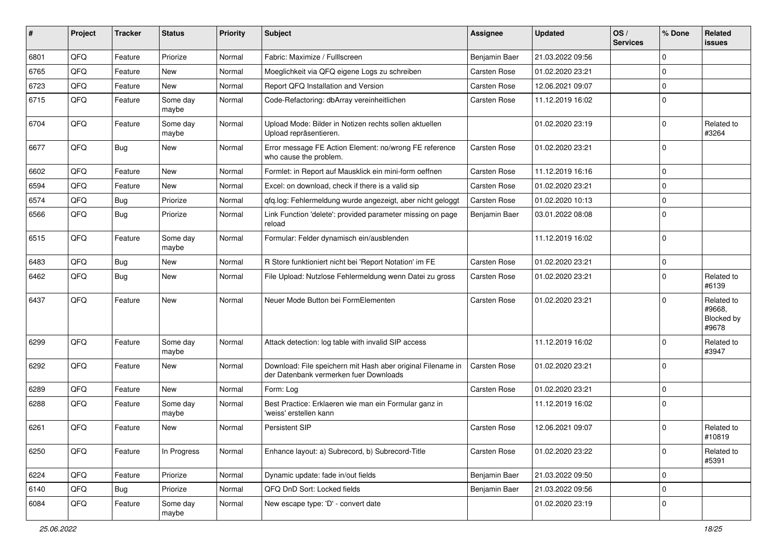| #    | Project | <b>Tracker</b> | <b>Status</b>     | <b>Priority</b> | Subject                                                                                               | <b>Assignee</b>     | <b>Updated</b>   | OS/<br><b>Services</b> | % Done         | Related<br><b>issues</b>                    |
|------|---------|----------------|-------------------|-----------------|-------------------------------------------------------------------------------------------------------|---------------------|------------------|------------------------|----------------|---------------------------------------------|
| 6801 | QFQ     | Feature        | Priorize          | Normal          | Fabric: Maximize / Fulllscreen                                                                        | Benjamin Baer       | 21.03.2022 09:56 |                        | $\Omega$       |                                             |
| 6765 | QFQ     | Feature        | New               | Normal          | Moeglichkeit via QFQ eigene Logs zu schreiben                                                         | Carsten Rose        | 01.02.2020 23:21 |                        | 0              |                                             |
| 6723 | QFQ     | Feature        | New               | Normal          | Report QFQ Installation and Version                                                                   | Carsten Rose        | 12.06.2021 09:07 |                        | $\Omega$       |                                             |
| 6715 | QFQ     | Feature        | Some day<br>maybe | Normal          | Code-Refactoring: dbArray vereinheitlichen                                                            | Carsten Rose        | 11.12.2019 16:02 |                        | $\Omega$       |                                             |
| 6704 | QFQ     | Feature        | Some day<br>maybe | Normal          | Upload Mode: Bilder in Notizen rechts sollen aktuellen<br>Upload repräsentieren.                      |                     | 01.02.2020 23:19 |                        | $\Omega$       | Related to<br>#3264                         |
| 6677 | QFQ     | Bug            | New               | Normal          | Error message FE Action Element: no/wrong FE reference<br>who cause the problem.                      | <b>Carsten Rose</b> | 01.02.2020 23:21 |                        | $\Omega$       |                                             |
| 6602 | QFQ     | Feature        | New               | Normal          | Formlet: in Report auf Mausklick ein mini-form oeffnen                                                | Carsten Rose        | 11.12.2019 16:16 |                        | $\mathbf 0$    |                                             |
| 6594 | QFQ     | Feature        | New               | Normal          | Excel: on download, check if there is a valid sip                                                     | Carsten Rose        | 01.02.2020 23:21 |                        | $\Omega$       |                                             |
| 6574 | QFQ     | Bug            | Priorize          | Normal          | qfq.log: Fehlermeldung wurde angezeigt, aber nicht geloggt                                            | Carsten Rose        | 01.02.2020 10:13 |                        | $\mathbf 0$    |                                             |
| 6566 | QFQ     | Bug            | Priorize          | Normal          | Link Function 'delete': provided parameter missing on page<br>reload                                  | Benjamin Baer       | 03.01.2022 08:08 |                        | $\Omega$       |                                             |
| 6515 | QFQ     | Feature        | Some day<br>maybe | Normal          | Formular: Felder dynamisch ein/ausblenden                                                             |                     | 11.12.2019 16:02 |                        | $\mathbf 0$    |                                             |
| 6483 | QFQ     | Bug            | New               | Normal          | R Store funktioniert nicht bei 'Report Notation' im FE                                                | Carsten Rose        | 01.02.2020 23:21 |                        | $\mathbf 0$    |                                             |
| 6462 | QFQ     | Bug            | New               | Normal          | File Upload: Nutzlose Fehlermeldung wenn Datei zu gross                                               | Carsten Rose        | 01.02.2020 23:21 |                        | $\mathbf 0$    | Related to<br>#6139                         |
| 6437 | QFQ     | Feature        | New               | Normal          | Neuer Mode Button bei FormElementen                                                                   | Carsten Rose        | 01.02.2020 23:21 |                        | $\Omega$       | Related to<br>#9668.<br>Blocked by<br>#9678 |
| 6299 | QFQ     | Feature        | Some day<br>maybe | Normal          | Attack detection: log table with invalid SIP access                                                   |                     | 11.12.2019 16:02 |                        | $\Omega$       | Related to<br>#3947                         |
| 6292 | QFQ     | Feature        | <b>New</b>        | Normal          | Download: File speichern mit Hash aber original Filename in<br>der Datenbank vermerken fuer Downloads | Carsten Rose        | 01.02.2020 23:21 |                        | $\Omega$       |                                             |
| 6289 | QFQ     | Feature        | New               | Normal          | Form: Log                                                                                             | Carsten Rose        | 01.02.2020 23:21 |                        | $\overline{0}$ |                                             |
| 6288 | QFQ     | Feature        | Some day<br>maybe | Normal          | Best Practice: Erklaeren wie man ein Formular ganz in<br>'weiss' erstellen kann                       |                     | 11.12.2019 16:02 |                        | $\Omega$       |                                             |
| 6261 | QFQ     | Feature        | <b>New</b>        | Normal          | <b>Persistent SIP</b>                                                                                 | Carsten Rose        | 12.06.2021 09:07 |                        | $\Omega$       | Related to<br>#10819                        |
| 6250 | QFQ     | Feature        | In Progress       | Normal          | Enhance layout: a) Subrecord, b) Subrecord-Title                                                      | Carsten Rose        | 01.02.2020 23:22 |                        | $\mathbf 0$    | Related to<br>#5391                         |
| 6224 | QFQ     | Feature        | Priorize          | Normal          | Dynamic update: fade in/out fields                                                                    | Benjamin Baer       | 21.03.2022 09:50 |                        | 0              |                                             |
| 6140 | QFQ     | Bug            | Priorize          | Normal          | QFQ DnD Sort: Locked fields                                                                           | Benjamin Baer       | 21.03.2022 09:56 |                        | $\mathbf 0$    |                                             |
| 6084 | QFQ     | Feature        | Some day<br>maybe | Normal          | New escape type: 'D' - convert date                                                                   |                     | 01.02.2020 23:19 |                        | 0              |                                             |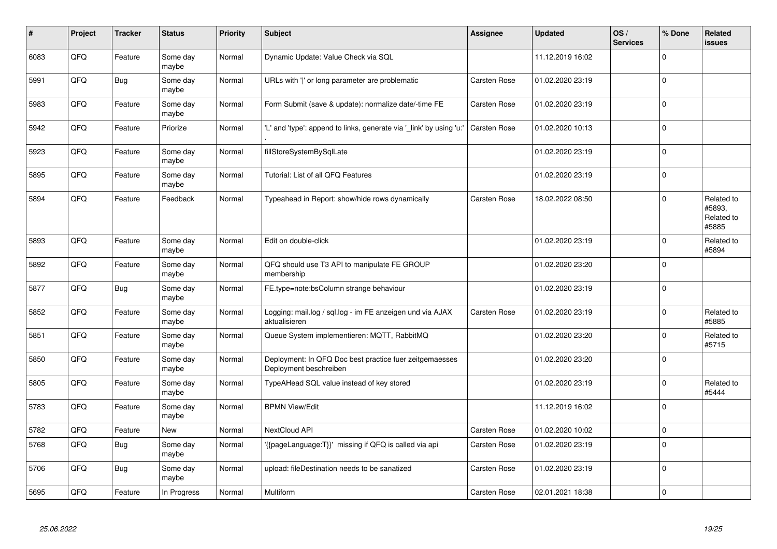| #    | Project | <b>Tracker</b> | <b>Status</b>     | <b>Priority</b> | <b>Subject</b>                                                                    | Assignee     | <b>Updated</b>   | OS/<br><b>Services</b> | % Done      | Related<br>issues                           |
|------|---------|----------------|-------------------|-----------------|-----------------------------------------------------------------------------------|--------------|------------------|------------------------|-------------|---------------------------------------------|
| 6083 | QFQ     | Feature        | Some day<br>maybe | Normal          | Dynamic Update: Value Check via SQL                                               |              | 11.12.2019 16:02 |                        | $\Omega$    |                                             |
| 5991 | QFQ     | Bug            | Some day<br>maybe | Normal          | URLs with ' ' or long parameter are problematic                                   | Carsten Rose | 01.02.2020 23:19 |                        | $\Omega$    |                                             |
| 5983 | QFQ     | Feature        | Some day<br>maybe | Normal          | Form Submit (save & update): normalize date/-time FE                              | Carsten Rose | 01.02.2020 23:19 |                        | $\Omega$    |                                             |
| 5942 | QFQ     | Feature        | Priorize          | Normal          | 'L' and 'type': append to links, generate via 'link' by using 'u:'                | Carsten Rose | 01.02.2020 10:13 |                        | $\Omega$    |                                             |
| 5923 | QFQ     | Feature        | Some day<br>maybe | Normal          | fillStoreSystemBySqlLate                                                          |              | 01.02.2020 23:19 |                        | $\Omega$    |                                             |
| 5895 | QFQ     | Feature        | Some day<br>maybe | Normal          | Tutorial: List of all QFQ Features                                                |              | 01.02.2020 23:19 |                        | $\Omega$    |                                             |
| 5894 | QFQ     | Feature        | Feedback          | Normal          | Typeahead in Report: show/hide rows dynamically                                   | Carsten Rose | 18.02.2022 08:50 |                        | $\Omega$    | Related to<br>#5893,<br>Related to<br>#5885 |
| 5893 | QFQ     | Feature        | Some day<br>maybe | Normal          | Edit on double-click                                                              |              | 01.02.2020 23:19 |                        | $\Omega$    | Related to<br>#5894                         |
| 5892 | QFQ     | Feature        | Some day<br>maybe | Normal          | QFQ should use T3 API to manipulate FE GROUP<br>membership                        |              | 01.02.2020 23:20 |                        | $\Omega$    |                                             |
| 5877 | QFQ     | <b>Bug</b>     | Some day<br>maybe | Normal          | FE.type=note:bsColumn strange behaviour                                           |              | 01.02.2020 23:19 |                        | $\mathbf 0$ |                                             |
| 5852 | QFQ     | Feature        | Some dav<br>maybe | Normal          | Logging: mail.log / sql.log - im FE anzeigen und via AJAX<br>aktualisieren        | Carsten Rose | 01.02.2020 23:19 |                        | $\Omega$    | Related to<br>#5885                         |
| 5851 | QFQ     | Feature        | Some day<br>maybe | Normal          | Queue System implementieren: MQTT, RabbitMQ                                       |              | 01.02.2020 23:20 |                        | $\Omega$    | Related to<br>#5715                         |
| 5850 | QFQ     | Feature        | Some day<br>maybe | Normal          | Deployment: In QFQ Doc best practice fuer zeitgemaesses<br>Deployment beschreiben |              | 01.02.2020 23:20 |                        | $\Omega$    |                                             |
| 5805 | QFQ     | Feature        | Some day<br>maybe | Normal          | TypeAHead SQL value instead of key stored                                         |              | 01.02.2020 23:19 |                        | $\Omega$    | Related to<br>#5444                         |
| 5783 | QFQ     | Feature        | Some day<br>maybe | Normal          | <b>BPMN View/Edit</b>                                                             |              | 11.12.2019 16:02 |                        | $\Omega$    |                                             |
| 5782 | QFQ     | Feature        | New               | Normal          | NextCloud API                                                                     | Carsten Rose | 01.02.2020 10:02 |                        | $\Omega$    |                                             |
| 5768 | QFQ     | Bug            | Some day<br>maybe | Normal          | '{{pageLanguage:T}}' missing if QFQ is called via api                             | Carsten Rose | 01.02.2020 23:19 |                        | $\mathbf 0$ |                                             |
| 5706 | QFQ     | <b>Bug</b>     | Some dav<br>maybe | Normal          | upload: fileDestination needs to be sanatized                                     | Carsten Rose | 01.02.2020 23:19 |                        | $\Omega$    |                                             |
| 5695 | QFQ     | Feature        | In Progress       | Normal          | Multiform                                                                         | Carsten Rose | 02.01.2021 18:38 |                        | $\Omega$    |                                             |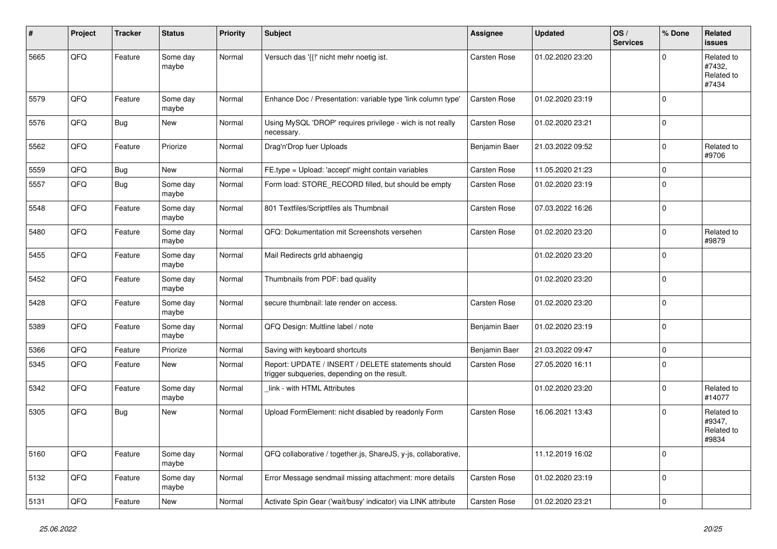| #    | Project | <b>Tracker</b> | <b>Status</b>     | <b>Priority</b> | <b>Subject</b>                                                                                     | <b>Assignee</b>     | <b>Updated</b>   | OS/<br><b>Services</b> | % Done      | Related<br><b>issues</b>                    |
|------|---------|----------------|-------------------|-----------------|----------------------------------------------------------------------------------------------------|---------------------|------------------|------------------------|-------------|---------------------------------------------|
| 5665 | QFQ     | Feature        | Some day<br>maybe | Normal          | Versuch das '{{!' nicht mehr noetig ist.                                                           | Carsten Rose        | 01.02.2020 23:20 |                        | $\Omega$    | Related to<br>#7432,<br>Related to<br>#7434 |
| 5579 | QFQ     | Feature        | Some day<br>maybe | Normal          | Enhance Doc / Presentation: variable type 'link column type'                                       | <b>Carsten Rose</b> | 01.02.2020 23:19 |                        | $\Omega$    |                                             |
| 5576 | QFQ     | Bug            | <b>New</b>        | Normal          | Using MySQL 'DROP' requires privilege - wich is not really<br>necessary.                           | Carsten Rose        | 01.02.2020 23:21 |                        | $\Omega$    |                                             |
| 5562 | QFQ     | Feature        | Priorize          | Normal          | Drag'n'Drop fuer Uploads                                                                           | Benjamin Baer       | 21.03.2022 09:52 |                        | $\Omega$    | Related to<br>#9706                         |
| 5559 | QFQ     | <b>Bug</b>     | <b>New</b>        | Normal          | FE.type = Upload: 'accept' might contain variables                                                 | Carsten Rose        | 11.05.2020 21:23 |                        | $\mathbf 0$ |                                             |
| 5557 | QFQ     | <b>Bug</b>     | Some day<br>maybe | Normal          | Form load: STORE RECORD filled, but should be empty                                                | Carsten Rose        | 01.02.2020 23:19 |                        | $\Omega$    |                                             |
| 5548 | QFQ     | Feature        | Some day<br>maybe | Normal          | 801 Textfiles/Scriptfiles als Thumbnail                                                            | Carsten Rose        | 07.03.2022 16:26 |                        | $\Omega$    |                                             |
| 5480 | QFQ     | Feature        | Some day<br>maybe | Normal          | QFQ: Dokumentation mit Screenshots versehen                                                        | Carsten Rose        | 01.02.2020 23:20 |                        | $\Omega$    | Related to<br>#9879                         |
| 5455 | QFQ     | Feature        | Some day<br>maybe | Normal          | Mail Redirects grld abhaengig                                                                      |                     | 01.02.2020 23:20 |                        | $\Omega$    |                                             |
| 5452 | QFQ     | Feature        | Some day<br>maybe | Normal          | Thumbnails from PDF: bad quality                                                                   |                     | 01.02.2020 23:20 |                        | $\Omega$    |                                             |
| 5428 | QFQ     | Feature        | Some day<br>maybe | Normal          | secure thumbnail: late render on access.                                                           | Carsten Rose        | 01.02.2020 23:20 |                        | $\Omega$    |                                             |
| 5389 | QFQ     | Feature        | Some day<br>maybe | Normal          | QFQ Design: Multline label / note                                                                  | Benjamin Baer       | 01.02.2020 23:19 |                        | $\mathbf 0$ |                                             |
| 5366 | QFQ     | Feature        | Priorize          | Normal          | Saving with keyboard shortcuts                                                                     | Benjamin Baer       | 21.03.2022 09:47 |                        | $\Omega$    |                                             |
| 5345 | QFQ     | Feature        | <b>New</b>        | Normal          | Report: UPDATE / INSERT / DELETE statements should<br>trigger subqueries, depending on the result. | Carsten Rose        | 27.05.2020 16:11 |                        | $\Omega$    |                                             |
| 5342 | QFQ     | Feature        | Some day<br>maybe | Normal          | link - with HTML Attributes                                                                        |                     | 01.02.2020 23:20 |                        | $\Omega$    | Related to<br>#14077                        |
| 5305 | QFQ     | <b>Bug</b>     | <b>New</b>        | Normal          | Upload FormElement: nicht disabled by readonly Form                                                | Carsten Rose        | 16.06.2021 13:43 |                        | $\Omega$    | Related to<br>#9347,<br>Related to<br>#9834 |
| 5160 | QFQ     | Feature        | Some day<br>maybe | Normal          | QFQ collaborative / together.js, ShareJS, y-js, collaborative,                                     |                     | 11.12.2019 16:02 |                        | $\Omega$    |                                             |
| 5132 | QFQ     | Feature        | Some day<br>maybe | Normal          | Error Message sendmail missing attachment: more details                                            | Carsten Rose        | 01.02.2020 23:19 |                        | $\Omega$    |                                             |
| 5131 | QFQ     | Feature        | <b>New</b>        | Normal          | Activate Spin Gear ('wait/busy' indicator) via LINK attribute                                      | Carsten Rose        | 01.02.2020 23:21 |                        | $\mathbf 0$ |                                             |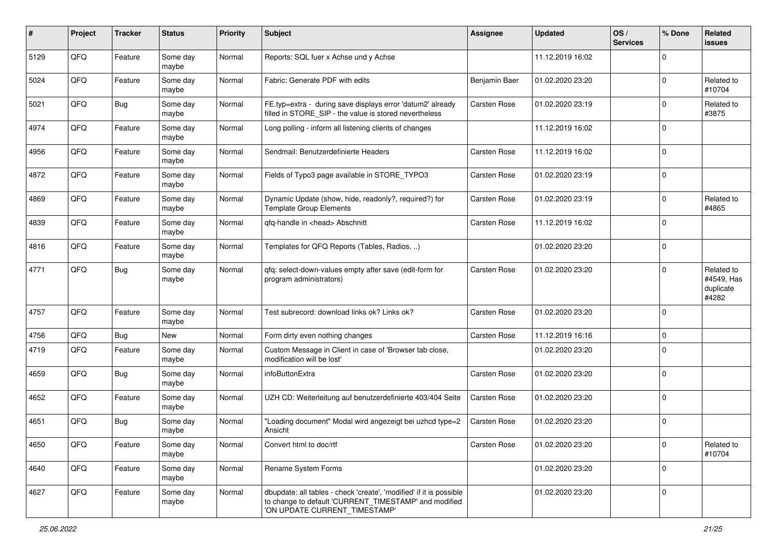| #    | Project | <b>Tracker</b> | <b>Status</b>     | <b>Priority</b> | <b>Subject</b>                                                                                                                                                | <b>Assignee</b> | <b>Updated</b>   | OS/<br><b>Services</b> | % Done       | Related<br><b>issues</b>                       |
|------|---------|----------------|-------------------|-----------------|---------------------------------------------------------------------------------------------------------------------------------------------------------------|-----------------|------------------|------------------------|--------------|------------------------------------------------|
| 5129 | QFQ     | Feature        | Some day<br>maybe | Normal          | Reports: SQL fuer x Achse und y Achse                                                                                                                         |                 | 11.12.2019 16:02 |                        | $\Omega$     |                                                |
| 5024 | QFQ     | Feature        | Some day<br>maybe | Normal          | Fabric: Generate PDF with edits                                                                                                                               | Benjamin Baer   | 01.02.2020 23:20 |                        | $\Omega$     | Related to<br>#10704                           |
| 5021 | QFQ     | Bug            | Some day<br>maybe | Normal          | FE.typ=extra - during save displays error 'datum2' already<br>filled in STORE_SIP - the value is stored nevertheless                                          | Carsten Rose    | 01.02.2020 23:19 |                        | $\Omega$     | Related to<br>#3875                            |
| 4974 | QFQ     | Feature        | Some day<br>maybe | Normal          | Long polling - inform all listening clients of changes                                                                                                        |                 | 11.12.2019 16:02 |                        | $\mathbf{0}$ |                                                |
| 4956 | QFQ     | Feature        | Some day<br>maybe | Normal          | Sendmail: Benutzerdefinierte Headers                                                                                                                          | Carsten Rose    | 11.12.2019 16:02 |                        | $\mathbf 0$  |                                                |
| 4872 | QFQ     | Feature        | Some day<br>maybe | Normal          | Fields of Typo3 page available in STORE_TYPO3                                                                                                                 | Carsten Rose    | 01.02.2020 23:19 |                        | $\mathbf{0}$ |                                                |
| 4869 | QFQ     | Feature        | Some day<br>maybe | Normal          | Dynamic Update (show, hide, readonly?, required?) for<br><b>Template Group Elements</b>                                                                       | Carsten Rose    | 01.02.2020 23:19 |                        | $\Omega$     | Related to<br>#4865                            |
| 4839 | QFQ     | Feature        | Some day<br>maybe | Normal          | qfq-handle in <head> Abschnitt</head>                                                                                                                         | Carsten Rose    | 11.12.2019 16:02 |                        | $\Omega$     |                                                |
| 4816 | QFQ     | Feature        | Some day<br>maybe | Normal          | Templates for QFQ Reports (Tables, Radios, )                                                                                                                  |                 | 01.02.2020 23:20 |                        | $\mathbf 0$  |                                                |
| 4771 | QFQ     | Bug            | Some day<br>maybe | Normal          | qfq: select-down-values empty after save (edit-form for<br>program administrators)                                                                            | Carsten Rose    | 01.02.2020 23:20 |                        | $\Omega$     | Related to<br>#4549, Has<br>duplicate<br>#4282 |
| 4757 | QFQ     | Feature        | Some day<br>maybe | Normal          | Test subrecord: download links ok? Links ok?                                                                                                                  | Carsten Rose    | 01.02.2020 23:20 |                        | $\mathbf 0$  |                                                |
| 4756 | QFQ     | <b>Bug</b>     | New               | Normal          | Form dirty even nothing changes                                                                                                                               | Carsten Rose    | 11.12.2019 16:16 |                        | $\mathbf 0$  |                                                |
| 4719 | QFQ     | Feature        | Some day<br>maybe | Normal          | Custom Message in Client in case of 'Browser tab close,<br>modification will be lost'                                                                         |                 | 01.02.2020 23:20 |                        | $\Omega$     |                                                |
| 4659 | QFQ     | Bug            | Some day<br>maybe | Normal          | infoButtonExtra                                                                                                                                               | Carsten Rose    | 01.02.2020 23:20 |                        | $\Omega$     |                                                |
| 4652 | QFQ     | Feature        | Some day<br>maybe | Normal          | UZH CD: Weiterleitung auf benutzerdefinierte 403/404 Seite                                                                                                    | Carsten Rose    | 01.02.2020 23:20 |                        | $\mathbf{0}$ |                                                |
| 4651 | QFQ     | Bug            | Some day<br>maybe | Normal          | "Loading document" Modal wird angezeigt bei uzhcd type=2<br>Ansicht                                                                                           | Carsten Rose    | 01.02.2020 23:20 |                        | $\mathbf 0$  |                                                |
| 4650 | QFQ     | Feature        | Some day<br>maybe | Normal          | Convert html to doc/rtf                                                                                                                                       | Carsten Rose    | 01.02.2020 23:20 |                        | l 0          | Related to<br>#10704                           |
| 4640 | QFQ     | Feature        | Some day<br>maybe | Normal          | Rename System Forms                                                                                                                                           |                 | 01.02.2020 23:20 |                        | $\Omega$     |                                                |
| 4627 | QFQ     | Feature        | Some day<br>maybe | Normal          | dbupdate: all tables - check 'create', 'modified' if it is possible<br>to change to default 'CURRENT_TIMESTAMP' and modified<br>'ON UPDATE CURRENT_TIMESTAMP' |                 | 01.02.2020 23:20 |                        | l 0          |                                                |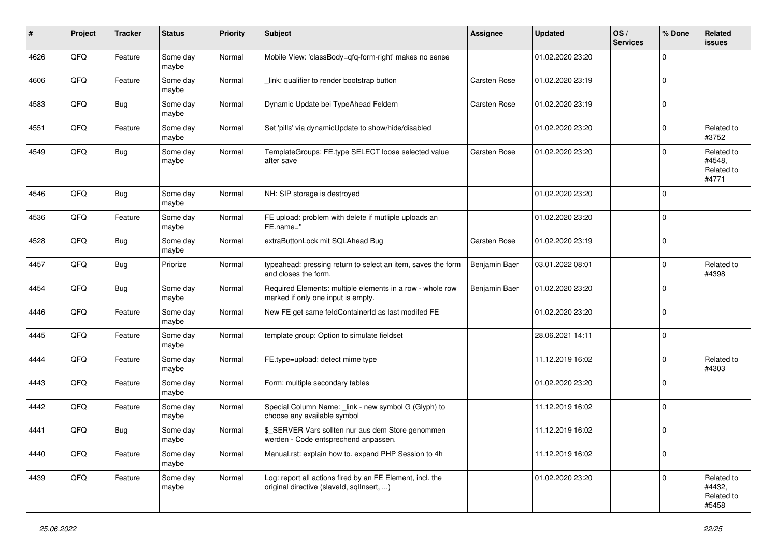| $\pmb{\#}$ | Project | <b>Tracker</b> | <b>Status</b>     | <b>Priority</b> | <b>Subject</b>                                                                                         | Assignee            | <b>Updated</b>   | OS/<br><b>Services</b> | % Done      | Related<br><b>issues</b>                    |
|------------|---------|----------------|-------------------|-----------------|--------------------------------------------------------------------------------------------------------|---------------------|------------------|------------------------|-------------|---------------------------------------------|
| 4626       | QFQ     | Feature        | Some day<br>maybe | Normal          | Mobile View: 'classBody=qfq-form-right' makes no sense                                                 |                     | 01.02.2020 23:20 |                        | $\mathbf 0$ |                                             |
| 4606       | QFQ     | Feature        | Some day<br>maybe | Normal          | link: qualifier to render bootstrap button                                                             | <b>Carsten Rose</b> | 01.02.2020 23:19 |                        | $\mathbf 0$ |                                             |
| 4583       | QFQ     | <b>Bug</b>     | Some day<br>maybe | Normal          | Dynamic Update bei TypeAhead Feldern                                                                   | Carsten Rose        | 01.02.2020 23:19 |                        | $\mathbf 0$ |                                             |
| 4551       | QFQ     | Feature        | Some day<br>maybe | Normal          | Set 'pills' via dynamicUpdate to show/hide/disabled                                                    |                     | 01.02.2020 23:20 |                        | $\mathbf 0$ | Related to<br>#3752                         |
| 4549       | QFQ     | <b>Bug</b>     | Some day<br>maybe | Normal          | TemplateGroups: FE.type SELECT loose selected value<br>after save                                      | Carsten Rose        | 01.02.2020 23:20 |                        | $\mathbf 0$ | Related to<br>#4548,<br>Related to<br>#4771 |
| 4546       | QFQ     | Bug            | Some day<br>maybe | Normal          | NH: SIP storage is destroyed                                                                           |                     | 01.02.2020 23:20 |                        | $\mathbf 0$ |                                             |
| 4536       | QFQ     | Feature        | Some day<br>maybe | Normal          | FE upload: problem with delete if mutliple uploads an<br>FE.name="                                     |                     | 01.02.2020 23:20 |                        | $\mathbf 0$ |                                             |
| 4528       | QFQ     | <b>Bug</b>     | Some day<br>maybe | Normal          | extraButtonLock mit SQLAhead Bug                                                                       | <b>Carsten Rose</b> | 01.02.2020 23:19 |                        | $\mathbf 0$ |                                             |
| 4457       | QFQ     | <b>Bug</b>     | Priorize          | Normal          | typeahead: pressing return to select an item, saves the form<br>and closes the form.                   | Benjamin Baer       | 03.01.2022 08:01 |                        | $\mathbf 0$ | Related to<br>#4398                         |
| 4454       | QFQ     | <b>Bug</b>     | Some day<br>maybe | Normal          | Required Elements: multiple elements in a row - whole row<br>marked if only one input is empty.        | Benjamin Baer       | 01.02.2020 23:20 |                        | $\mathbf 0$ |                                             |
| 4446       | QFQ     | Feature        | Some day<br>maybe | Normal          | New FE get same feldContainerId as last modifed FE                                                     |                     | 01.02.2020 23:20 |                        | $\mathbf 0$ |                                             |
| 4445       | QFQ     | Feature        | Some day<br>maybe | Normal          | template group: Option to simulate fieldset                                                            |                     | 28.06.2021 14:11 |                        | $\mathbf 0$ |                                             |
| 4444       | QFQ     | Feature        | Some day<br>maybe | Normal          | FE.type=upload: detect mime type                                                                       |                     | 11.12.2019 16:02 |                        | $\mathbf 0$ | Related to<br>#4303                         |
| 4443       | QFQ     | Feature        | Some day<br>maybe | Normal          | Form: multiple secondary tables                                                                        |                     | 01.02.2020 23:20 |                        | $\mathbf 0$ |                                             |
| 4442       | QFQ     | Feature        | Some day<br>maybe | Normal          | Special Column Name: _link - new symbol G (Glyph) to<br>choose any available symbol                    |                     | 11.12.2019 16:02 |                        | $\mathbf 0$ |                                             |
| 4441       | QFQ     | <b>Bug</b>     | Some day<br>maybe | Normal          | \$_SERVER Vars sollten nur aus dem Store genommen<br>werden - Code entsprechend anpassen.              |                     | 11.12.2019 16:02 |                        | $\mathbf 0$ |                                             |
| 4440       | QFQ     | Feature        | Some day<br>maybe | Normal          | Manual.rst: explain how to. expand PHP Session to 4h                                                   |                     | 11.12.2019 16:02 |                        | $\mathbf 0$ |                                             |
| 4439       | QFQ     | Feature        | Some day<br>maybe | Normal          | Log: report all actions fired by an FE Element, incl. the<br>original directive (slaveld, sqllnsert, ) |                     | 01.02.2020 23:20 |                        | $\mathbf 0$ | Related to<br>#4432,<br>Related to<br>#5458 |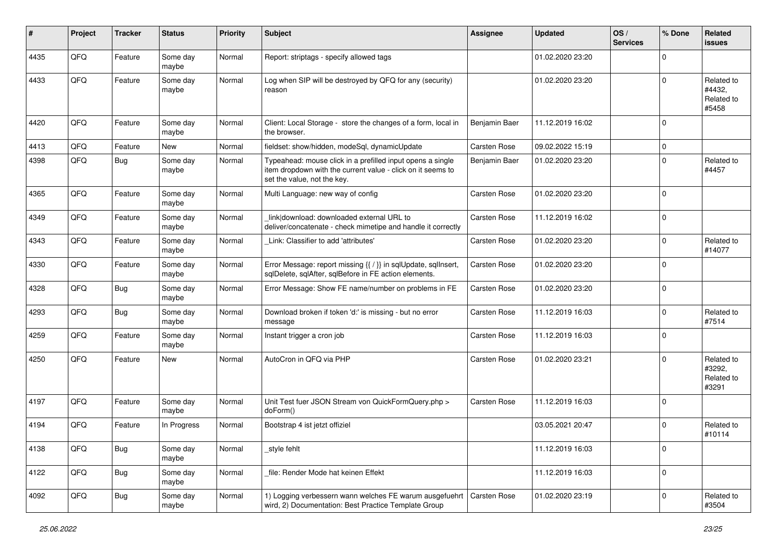| #    | Project | <b>Tracker</b> | <b>Status</b>     | <b>Priority</b> | <b>Subject</b>                                                                                                                                           | <b>Assignee</b>     | <b>Updated</b>   | OS/<br><b>Services</b> | % Done      | Related<br><b>issues</b>                    |
|------|---------|----------------|-------------------|-----------------|----------------------------------------------------------------------------------------------------------------------------------------------------------|---------------------|------------------|------------------------|-------------|---------------------------------------------|
| 4435 | QFQ     | Feature        | Some day<br>maybe | Normal          | Report: striptags - specify allowed tags                                                                                                                 |                     | 01.02.2020 23:20 |                        | $\Omega$    |                                             |
| 4433 | QFQ     | Feature        | Some day<br>maybe | Normal          | Log when SIP will be destroyed by QFQ for any (security)<br>reason                                                                                       |                     | 01.02.2020 23:20 |                        | $\Omega$    | Related to<br>#4432,<br>Related to<br>#5458 |
| 4420 | QFQ     | Feature        | Some day<br>maybe | Normal          | Client: Local Storage - store the changes of a form, local in<br>the browser.                                                                            | Benjamin Baer       | 11.12.2019 16:02 |                        | $\Omega$    |                                             |
| 4413 | QFQ     | Feature        | New               | Normal          | fieldset: show/hidden, modeSql, dynamicUpdate                                                                                                            | Carsten Rose        | 09.02.2022 15:19 |                        | $\mathbf 0$ |                                             |
| 4398 | QFQ     | Bug            | Some day<br>maybe | Normal          | Typeahead: mouse click in a prefilled input opens a single<br>item dropdown with the current value - click on it seems to<br>set the value, not the key. | Benjamin Baer       | 01.02.2020 23:20 |                        | $\Omega$    | Related to<br>#4457                         |
| 4365 | QFQ     | Feature        | Some day<br>maybe | Normal          | Multi Language: new way of config                                                                                                                        | Carsten Rose        | 01.02.2020 23:20 |                        | $\mathbf 0$ |                                             |
| 4349 | QFQ     | Feature        | Some day<br>maybe | Normal          | link download: downloaded external URL to<br>deliver/concatenate - check mimetipe and handle it correctly                                                | Carsten Rose        | 11.12.2019 16:02 |                        | $\Omega$    |                                             |
| 4343 | QFQ     | Feature        | Some day<br>maybe | Normal          | Link: Classifier to add 'attributes'                                                                                                                     | Carsten Rose        | 01.02.2020 23:20 |                        | $\Omega$    | Related to<br>#14077                        |
| 4330 | QFQ     | Feature        | Some day<br>maybe | Normal          | Error Message: report missing {{ / }} in sqlUpdate, sqlInsert,<br>sqlDelete, sqlAfter, sqlBefore in FE action elements.                                  | Carsten Rose        | 01.02.2020 23:20 |                        | $\Omega$    |                                             |
| 4328 | QFQ     | Bug            | Some day<br>maybe | Normal          | Error Message: Show FE name/number on problems in FE                                                                                                     | Carsten Rose        | 01.02.2020 23:20 |                        | $\mathbf 0$ |                                             |
| 4293 | QFQ     | <b>Bug</b>     | Some day<br>maybe | Normal          | Download broken if token 'd:' is missing - but no error<br>message                                                                                       | Carsten Rose        | 11.12.2019 16:03 |                        | $\mathbf 0$ | Related to<br>#7514                         |
| 4259 | QFQ     | Feature        | Some day<br>maybe | Normal          | Instant trigger a cron job                                                                                                                               | Carsten Rose        | 11.12.2019 16:03 |                        | 0           |                                             |
| 4250 | QFQ     | Feature        | New               | Normal          | AutoCron in QFQ via PHP                                                                                                                                  | Carsten Rose        | 01.02.2020 23:21 |                        | $\Omega$    | Related to<br>#3292,<br>Related to<br>#3291 |
| 4197 | QFQ     | Feature        | Some day<br>maybe | Normal          | Unit Test fuer JSON Stream von QuickFormQuery.php ><br>doForm()                                                                                          | Carsten Rose        | 11.12.2019 16:03 |                        | l 0         |                                             |
| 4194 | QFQ     | Feature        | In Progress       | Normal          | Bootstrap 4 ist jetzt offiziel                                                                                                                           |                     | 03.05.2021 20:47 |                        | $\Omega$    | Related to<br>#10114                        |
| 4138 | QFQ     | <b>Bug</b>     | Some day<br>maybe | Normal          | _style fehlt                                                                                                                                             |                     | 11.12.2019 16:03 |                        | 0           |                                             |
| 4122 | QFQ     | <b>Bug</b>     | Some day<br>maybe | Normal          | file: Render Mode hat keinen Effekt                                                                                                                      |                     | 11.12.2019 16:03 |                        | 0           |                                             |
| 4092 | QFQ     | Bug            | Some day<br>maybe | Normal          | 1) Logging verbessern wann welches FE warum ausgefuehrt<br>wird, 2) Documentation: Best Practice Template Group                                          | <b>Carsten Rose</b> | 01.02.2020 23:19 |                        | $\mathbf 0$ | Related to<br>#3504                         |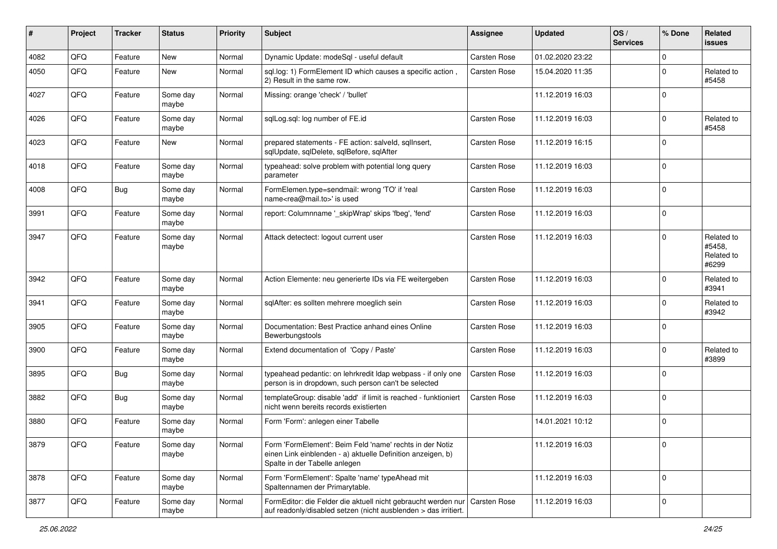| $\#$ | Project | <b>Tracker</b> | <b>Status</b>     | <b>Priority</b> | <b>Subject</b>                                                                                                                                           | <b>Assignee</b> | <b>Updated</b>   | OS/<br><b>Services</b> | % Done      | Related<br><b>issues</b>                    |
|------|---------|----------------|-------------------|-----------------|----------------------------------------------------------------------------------------------------------------------------------------------------------|-----------------|------------------|------------------------|-------------|---------------------------------------------|
| 4082 | QFQ     | Feature        | <b>New</b>        | Normal          | Dynamic Update: modeSql - useful default                                                                                                                 | Carsten Rose    | 01.02.2020 23:22 |                        | $\mathbf 0$ |                                             |
| 4050 | QFQ     | Feature        | New               | Normal          | sql.log: 1) FormElement ID which causes a specific action,<br>2) Result in the same row.                                                                 | Carsten Rose    | 15.04.2020 11:35 |                        | $\Omega$    | Related to<br>#5458                         |
| 4027 | QFQ     | Feature        | Some day<br>maybe | Normal          | Missing: orange 'check' / 'bullet'                                                                                                                       |                 | 11.12.2019 16:03 |                        | $\mathbf 0$ |                                             |
| 4026 | QFQ     | Feature        | Some day<br>maybe | Normal          | sqlLog.sql: log number of FE.id                                                                                                                          | Carsten Rose    | 11.12.2019 16:03 |                        | $\mathbf 0$ | Related to<br>#5458                         |
| 4023 | QFQ     | Feature        | New               | Normal          | prepared statements - FE action: salveld, sqllnsert,<br>sqlUpdate, sqlDelete, sqlBefore, sqlAfter                                                        | Carsten Rose    | 11.12.2019 16:15 |                        | $\Omega$    |                                             |
| 4018 | QFQ     | Feature        | Some day<br>maybe | Normal          | typeahead: solve problem with potential long query<br>parameter                                                                                          | Carsten Rose    | 11.12.2019 16:03 |                        | $\Omega$    |                                             |
| 4008 | QFQ     | Bug            | Some day<br>maybe | Normal          | FormElemen.type=sendmail: wrong 'TO' if 'real<br>name <rea@mail.to>' is used</rea@mail.to>                                                               | Carsten Rose    | 11.12.2019 16:03 |                        | $\mathbf 0$ |                                             |
| 3991 | QFQ     | Feature        | Some day<br>maybe | Normal          | report: Columnname '_skipWrap' skips 'fbeg', 'fend'                                                                                                      | Carsten Rose    | 11.12.2019 16:03 |                        | 0           |                                             |
| 3947 | QFQ     | Feature        | Some day<br>maybe | Normal          | Attack detectect: logout current user                                                                                                                    | Carsten Rose    | 11.12.2019 16:03 |                        | $\Omega$    | Related to<br>#5458,<br>Related to<br>#6299 |
| 3942 | QFQ     | Feature        | Some day<br>maybe | Normal          | Action Elemente: neu generierte IDs via FE weitergeben                                                                                                   | Carsten Rose    | 11.12.2019 16:03 |                        | $\mathbf 0$ | Related to<br>#3941                         |
| 3941 | QFQ     | Feature        | Some day<br>maybe | Normal          | sqlAfter: es sollten mehrere moeglich sein                                                                                                               | Carsten Rose    | 11.12.2019 16:03 |                        | $\mathbf 0$ | Related to<br>#3942                         |
| 3905 | QFQ     | Feature        | Some day<br>maybe | Normal          | Documentation: Best Practice anhand eines Online<br>Bewerbungstools                                                                                      | Carsten Rose    | 11.12.2019 16:03 |                        | $\Omega$    |                                             |
| 3900 | QFQ     | Feature        | Some day<br>maybe | Normal          | Extend documentation of 'Copy / Paste'                                                                                                                   | Carsten Rose    | 11.12.2019 16:03 |                        | $\mathbf 0$ | Related to<br>#3899                         |
| 3895 | QFQ     | Bug            | Some day<br>maybe | Normal          | typeahead pedantic: on lehrkredit Idap webpass - if only one<br>person is in dropdown, such person can't be selected                                     | Carsten Rose    | 11.12.2019 16:03 |                        | 0           |                                             |
| 3882 | QFQ     | Bug            | Some day<br>maybe | Normal          | templateGroup: disable 'add' if limit is reached - funktioniert<br>nicht wenn bereits records existierten                                                | Carsten Rose    | 11.12.2019 16:03 |                        | $\mathbf 0$ |                                             |
| 3880 | QFQ     | Feature        | Some day<br>maybe | Normal          | Form 'Form': anlegen einer Tabelle                                                                                                                       |                 | 14.01.2021 10:12 |                        | $\mathbf 0$ |                                             |
| 3879 | QFQ     | Feature        | Some day<br>maybe | Normal          | Form 'FormElement': Beim Feld 'name' rechts in der Notiz<br>einen Link einblenden - a) aktuelle Definition anzeigen, b)<br>Spalte in der Tabelle anlegen |                 | 11.12.2019 16:03 |                        | 0           |                                             |
| 3878 | QFQ     | Feature        | Some day<br>maybe | Normal          | Form 'FormElement': Spalte 'name' typeAhead mit<br>Spaltennamen der Primarytable.                                                                        |                 | 11.12.2019 16:03 |                        | 0           |                                             |
| 3877 | QFQ     | Feature        | Some day<br>maybe | Normal          | FormEditor: die Felder die aktuell nicht gebraucht werden nur Carsten Rose<br>auf readonly/disabled setzen (nicht ausblenden > das irritiert.            |                 | 11.12.2019 16:03 |                        | 0           |                                             |